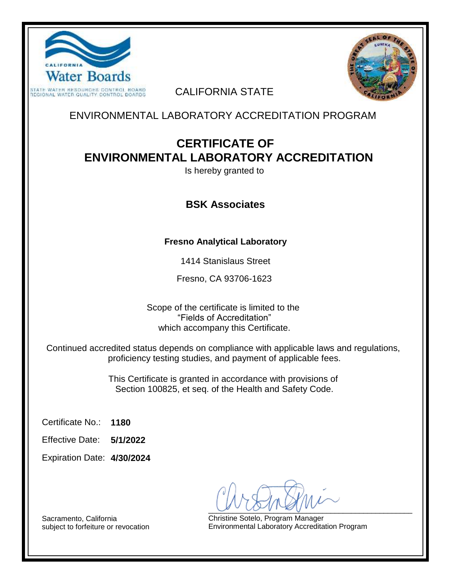



## CALIFORNIA STATE

ENVIRONMENTAL LABORATORY ACCREDITATION PROGRAM

# **CERTIFICATE OF ENVIRONMENTAL LABORATORY ACCREDITATION**

Is hereby granted to

## **BSK Associates**

## **Fresno Analytical Laboratory**

1414 Stanislaus Street

Fresno, CA 93706-1623

Scope of the certificate is limited to the "Fields of Accreditation" which accompany this Certificate.

Continued accredited status depends on compliance with applicable laws and regulations, proficiency testing studies, and payment of applicable fees.

> This Certificate is granted in accordance with provisions of Section 100825, et seq. of the Health and Safety Code.

**1180** Certificate No.:

**5/1/2022** Effective Date:

**4/30/2024** Expiration Date:

 $U \circ U \circ U \circ \mathbb{Z}$ 

Christine Sotelo, Program Manager Environmental Laboratory Accreditation Program

Sacramento, California subject to forfeiture or revocation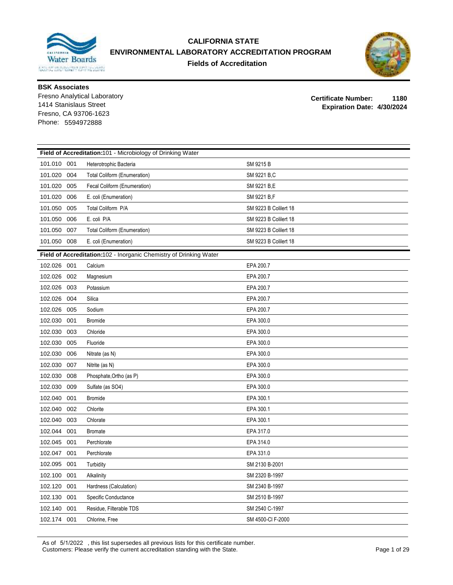

### **CALIFORNIA STATE ENVIRONMENTAL LABORATORY ACCREDITATION PROGRAM Fields of Accreditation**



**BSK Associates**

Fresno Analytical Laboratory Fresno, CA 93706-1623 Phone: 5594972888

**Certificate Number: 1180 Expiration Date: 4/30/2024** 1414 Stanislaus Street

|             | Field of Accreditation:101 - Microbiology of Drinking Water |                                                                    |                       |  |  |
|-------------|-------------------------------------------------------------|--------------------------------------------------------------------|-----------------------|--|--|
| 101.010 001 |                                                             | Heterotrophic Bacteria                                             | SM 9215 B             |  |  |
| 101.020     | 004                                                         | Total Coliform (Enumeration)                                       | SM 9221 B.C           |  |  |
| 101.020     | 005                                                         | Fecal Coliform (Enumeration)                                       | SM 9221 B,E           |  |  |
| 101.020     | 006                                                         | E. coli (Enumeration)                                              | SM 9221 B,F           |  |  |
| 101.050     | 005                                                         | Total Coliform P/A                                                 | SM 9223 B Colilert 18 |  |  |
| 101.050     | 006                                                         | E. coli P/A                                                        | SM 9223 B Colilert 18 |  |  |
| 101.050     | 007                                                         | <b>Total Coliform (Enumeration)</b>                                | SM 9223 B Colilert 18 |  |  |
| 101.050     | 008                                                         | E. coli (Enumeration)                                              | SM 9223 B Colilert 18 |  |  |
|             |                                                             | Field of Accreditation:102 - Inorganic Chemistry of Drinking Water |                       |  |  |
| 102.026 001 |                                                             | Calcium                                                            | EPA 200.7             |  |  |
| 102.026     | 002                                                         | Magnesium                                                          | EPA 200.7             |  |  |
| 102.026     | 003                                                         | Potassium                                                          | EPA 200.7             |  |  |
| 102.026     | 004                                                         | Silica                                                             | EPA 200.7             |  |  |
| 102.026     | 005                                                         | Sodium                                                             | EPA 200.7             |  |  |
| 102.030     | 001                                                         | <b>Bromide</b>                                                     | EPA 300.0             |  |  |
| 102.030     | 003                                                         | Chloride                                                           | EPA 300.0             |  |  |
| 102.030     | 005                                                         | Fluoride                                                           | EPA 300.0             |  |  |
| 102.030     | 006                                                         | Nitrate (as N)                                                     | EPA 300.0             |  |  |
| 102.030     | 007                                                         | Nitrite (as N)                                                     | EPA 300.0             |  |  |
| 102.030     | 008                                                         | Phosphate, Ortho (as P)                                            | EPA 300.0             |  |  |
| 102.030     | 009                                                         | Sulfate (as SO4)                                                   | EPA 300.0             |  |  |
| 102.040     | 001                                                         | <b>Bromide</b>                                                     | EPA 300.1             |  |  |
| 102.040     | 002                                                         | Chlorite                                                           | EPA 300.1             |  |  |
| 102.040     | 003                                                         | Chlorate                                                           | EPA 300.1             |  |  |
| 102.044     | 001                                                         | <b>Bromate</b>                                                     | EPA 317.0             |  |  |
| 102.045     | 001                                                         | Perchlorate                                                        | EPA 314.0             |  |  |
| 102.047     | 001                                                         | Perchlorate                                                        | EPA 331.0             |  |  |
| 102.095     | 001                                                         | Turbidity                                                          | SM 2130 B-2001        |  |  |
| 102.100     | 001                                                         | Alkalinity                                                         | SM 2320 B-1997        |  |  |
| 102.120     | 001                                                         | Hardness (Calculation)                                             | SM 2340 B-1997        |  |  |
| 102.130     | 001                                                         | Specific Conductance                                               | SM 2510 B-1997        |  |  |
| 102.140     | 001                                                         | Residue, Filterable TDS                                            | SM 2540 C-1997        |  |  |
| 102.174 001 |                                                             | Chlorine, Free                                                     | SM 4500-CI F-2000     |  |  |

As of 5/1/2022 , this list supersedes all previous lists for this certificate number. Customers: Please verify the current accreditation standing with the State. Page 1 of 29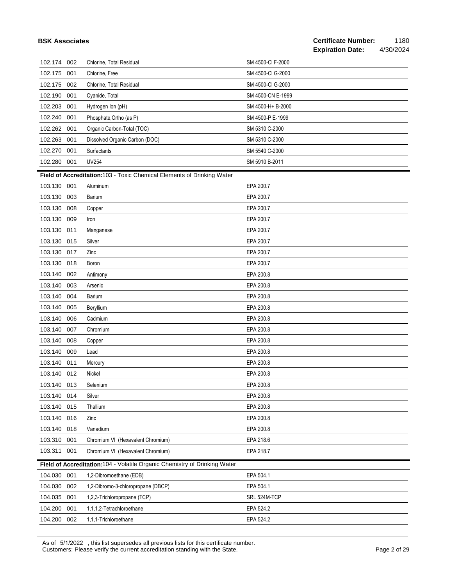| <b>BSK Associates</b> |     |                                                                           |                   | <b>Certificate Number:</b><br><b>Expiration Date:</b> | 1180<br>4/30/2024 |
|-----------------------|-----|---------------------------------------------------------------------------|-------------------|-------------------------------------------------------|-------------------|
| 102.174 002           |     | Chlorine, Total Residual                                                  | SM 4500-CI F-2000 |                                                       |                   |
| 102.175               | 001 | Chlorine, Free                                                            | SM 4500-CI G-2000 |                                                       |                   |
| 102.175               | 002 | Chlorine, Total Residual                                                  | SM 4500-CI G-2000 |                                                       |                   |
| 102.190               | 001 | Cyanide, Total                                                            | SM 4500-CN E-1999 |                                                       |                   |
| 102.203               | 001 | Hydrogen Ion (pH)                                                         | SM 4500-H+ B-2000 |                                                       |                   |
| 102.240               | 001 | Phosphate, Ortho (as P)                                                   | SM 4500-P E-1999  |                                                       |                   |
| 102.262               | 001 | Organic Carbon-Total (TOC)                                                | SM 5310 C-2000    |                                                       |                   |
| 102.263               | 001 | Dissolved Organic Carbon (DOC)                                            | SM 5310 C-2000    |                                                       |                   |
| 102.270               | 001 | Surfactants                                                               | SM 5540 C-2000    |                                                       |                   |
| 102.280 001           |     | <b>UV254</b>                                                              | SM 5910 B-2011    |                                                       |                   |
|                       |     | Field of Accreditation:103 - Toxic Chemical Elements of Drinking Water    |                   |                                                       |                   |
| 103.130               | 001 | Aluminum                                                                  | EPA 200.7         |                                                       |                   |
| 103.130               | 003 | Barium                                                                    | EPA 200.7         |                                                       |                   |
| 103.130               | 008 | Copper                                                                    | EPA 200.7         |                                                       |                   |
| 103.130               | 009 | Iron                                                                      | EPA 200.7         |                                                       |                   |
| 103.130               | 011 | Manganese                                                                 | EPA 200.7         |                                                       |                   |
| 103.130               | 015 | Silver                                                                    | EPA 200.7         |                                                       |                   |
| 103.130               | 017 | Zinc                                                                      | EPA 200.7         |                                                       |                   |
| 103.130               | 018 | Boron                                                                     | EPA 200.7         |                                                       |                   |
| 103.140               | 002 | Antimony                                                                  | EPA 200.8         |                                                       |                   |
| 103.140               | 003 | Arsenic                                                                   | EPA 200.8         |                                                       |                   |
| 103.140               | 004 | Barium                                                                    | EPA 200.8         |                                                       |                   |
| 103.140               | 005 | Beryllium                                                                 | EPA 200.8         |                                                       |                   |
| 103.140               | 006 | Cadmium                                                                   | EPA 200.8         |                                                       |                   |
| 103.140               | 007 | Chromium                                                                  | EPA 200.8         |                                                       |                   |
| 103.140               | 008 | Copper                                                                    | EPA 200.8         |                                                       |                   |
| 103.140               | 009 | Lead                                                                      | EPA 200.8         |                                                       |                   |
| 103.140 011           |     | Mercury                                                                   | EPA 200.8         |                                                       |                   |
| 103.140 012           |     | Nickel                                                                    | EPA 200.8         |                                                       |                   |
| 103.140 013           |     | Selenium                                                                  | EPA 200.8         |                                                       |                   |
| 103.140               | 014 | Silver                                                                    | EPA 200.8         |                                                       |                   |
| 103.140 015           |     | Thallium                                                                  | EPA 200.8         |                                                       |                   |
| 103.140               | 016 | Zinc                                                                      | EPA 200.8         |                                                       |                   |
| 103.140               | 018 | Vanadium                                                                  | EPA 200.8         |                                                       |                   |
| 103.310               | 001 | Chromium VI (Hexavalent Chromium)                                         | EPA 218.6         |                                                       |                   |
| 103.311               | 001 | Chromium VI (Hexavalent Chromium)                                         | EPA 218.7         |                                                       |                   |
|                       |     | Field of Accreditation:104 - Volatile Organic Chemistry of Drinking Water |                   |                                                       |                   |
| 104.030               | 001 | 1,2-Dibromoethane (EDB)                                                   | EPA 504.1         |                                                       |                   |
| 104.030               | 002 | 1,2-Dibromo-3-chloropropane (DBCP)                                        | EPA 504.1         |                                                       |                   |
| 104.035               | 001 | 1,2,3-Trichloropropane (TCP)                                              | SRL 524M-TCP      |                                                       |                   |
| 104.200               | 001 | 1,1,1,2-Tetrachloroethane                                                 | EPA 524.2         |                                                       |                   |
| 104.200 002           |     | 1,1,1-Trichloroethane                                                     | EPA 524.2         |                                                       |                   |

As of 5/1/2022 , this list supersedes all previous lists for this certificate number. Customers: Please verify the current accreditation standing with the State. Page 2 of 29 and 20 and 20 and 20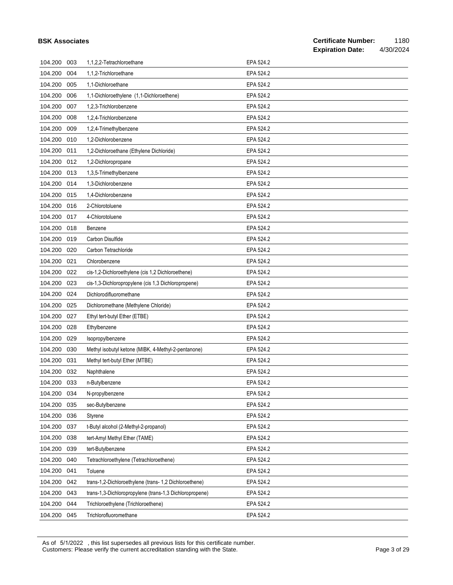| <b>BSK Associates</b> |     |                                                         |           | <b>Certificate Number:</b><br>1180<br><b>Expiration Date:</b><br>4/30/2024 |
|-----------------------|-----|---------------------------------------------------------|-----------|----------------------------------------------------------------------------|
| 104.200               | 003 | 1,1,2,2-Tetrachloroethane                               | EPA 524.2 |                                                                            |
| 104.200               | 004 | 1,1,2-Trichloroethane                                   | EPA 524.2 |                                                                            |
| 104.200               | 005 | 1,1-Dichloroethane                                      | EPA 524.2 |                                                                            |
| 104.200               | 006 | 1,1-Dichloroethylene (1,1-Dichloroethene)               | EPA 524.2 |                                                                            |
| 104.200               | 007 | 1,2,3-Trichlorobenzene                                  | EPA 524.2 |                                                                            |
| 104.200               | 008 | 1,2,4-Trichlorobenzene                                  | EPA 524.2 |                                                                            |
| 104.200               | 009 | 1,2,4-Trimethylbenzene                                  | EPA 524.2 |                                                                            |
| 104.200               | 010 | 1.2-Dichlorobenzene                                     | EPA 524.2 |                                                                            |
| 104.200               | 011 | 1,2-Dichloroethane (Ethylene Dichloride)                | EPA 524.2 |                                                                            |
| 104.200               | 012 | 1,2-Dichloropropane                                     | EPA 524.2 |                                                                            |
| 104.200               | 013 | 1,3,5-Trimethylbenzene                                  | EPA 524.2 |                                                                            |
| 104.200               | 014 | 1,3-Dichlorobenzene                                     | EPA 524.2 |                                                                            |
| 104.200               | 015 | 1,4-Dichlorobenzene                                     | EPA 524.2 |                                                                            |
| 104.200               | 016 | 2-Chlorotoluene                                         | EPA 524.2 |                                                                            |
| 104.200               | 017 | 4-Chlorotoluene                                         | EPA 524.2 |                                                                            |
| 104.200               | 018 | Benzene                                                 | EPA 524.2 |                                                                            |
| 104.200               | 019 | Carbon Disulfide                                        | EPA 524.2 |                                                                            |
| 104.200               | 020 | Carbon Tetrachloride                                    | EPA 524.2 |                                                                            |
| 104.200               | 021 | Chlorobenzene                                           | EPA 524.2 |                                                                            |
| 104.200               | 022 | cis-1,2-Dichloroethylene (cis 1,2 Dichloroethene)       | EPA 524.2 |                                                                            |
| 104.200               | 023 | cis-1,3-Dichloropropylene (cis 1,3 Dichloropropene)     | EPA 524.2 |                                                                            |
| 104.200               | 024 | Dichlorodifluoromethane                                 | EPA 524.2 |                                                                            |
| 104.200               | 025 | Dichloromethane (Methylene Chloride)                    | EPA 524.2 |                                                                            |
| 104.200               | 027 | Ethyl tert-butyl Ether (ETBE)                           | EPA 524.2 |                                                                            |
| 104.200               | 028 | Ethylbenzene                                            | EPA 524.2 |                                                                            |
| 104.200               | 029 | Isopropylbenzene                                        | EPA 524.2 |                                                                            |
| 104.200               | 030 | Methyl isobutyl ketone (MIBK, 4-Methyl-2-pentanone)     | EPA 524.2 |                                                                            |
| 104.200               | 031 | Methyl tert-butyl Ether (MTBE)                          | EPA 524.2 |                                                                            |
| 104.200 032           |     | Naphthalene                                             | EPA 524.2 |                                                                            |
| 104.200               | 033 | n-Butylbenzene                                          | EPA 524.2 |                                                                            |
| 104.200               | 034 | N-propylbenzene                                         | EPA 524.2 |                                                                            |
| 104.200               | 035 | sec-Butylbenzene                                        | EPA 524.2 |                                                                            |
| 104.200               | 036 | Styrene                                                 | EPA 524.2 |                                                                            |
| 104.200               | 037 | t-Butyl alcohol (2-Methyl-2-propanol)                   | EPA 524.2 |                                                                            |
| 104.200               | 038 | tert-Amyl Methyl Ether (TAME)                           | EPA 524.2 |                                                                            |
| 104.200               | 039 | tert-Butylbenzene                                       | EPA 524.2 |                                                                            |
| 104.200               | 040 | Tetrachloroethylene (Tetrachloroethene)                 | EPA 524.2 |                                                                            |
| 104.200               | 041 | Toluene                                                 | EPA 524.2 |                                                                            |
| 104.200               | 042 | trans-1,2-Dichloroethylene (trans-1,2 Dichloroethene)   | EPA 524.2 |                                                                            |
| 104.200               | 043 | trans-1,3-Dichloropropylene (trans-1,3 Dichloropropene) | EPA 524.2 |                                                                            |
| 104.200               | 044 | Trichloroethylene (Trichloroethene)                     | EPA 524.2 |                                                                            |
| 104.200               | 045 | Trichlorofluoromethane                                  | EPA 524.2 |                                                                            |

As of 5/1/2022 , this list supersedes all previous lists for this certificate number. Customers: Please verify the current accreditation standing with the State. Page 3 of 29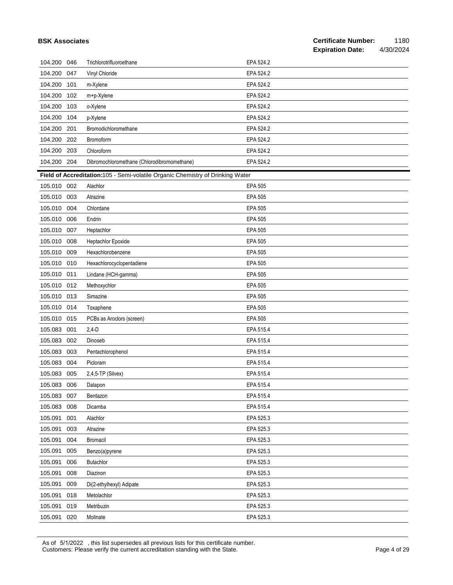|             | <b>BSK Associates</b> |                                                                                |                | <b>Certificate Number:</b><br><b>Expiration Date:</b> | 1180<br>4/30/2024 |
|-------------|-----------------------|--------------------------------------------------------------------------------|----------------|-------------------------------------------------------|-------------------|
| 104.200 046 |                       | Trichlorotrifluoroethane                                                       | EPA 524.2      |                                                       |                   |
| 104.200     | 047                   | Vinyl Chloride                                                                 | EPA 524.2      |                                                       |                   |
| 104.200     | 101                   | m-Xylene                                                                       | EPA 524.2      |                                                       |                   |
| 104.200     | 102                   | m+p-Xylene                                                                     | EPA 524.2      |                                                       |                   |
| 104.200     | 103                   | o-Xylene                                                                       | EPA 524.2      |                                                       |                   |
| 104.200     | 104                   | p-Xylene                                                                       | EPA 524.2      |                                                       |                   |
| 104.200     | 201                   | Bromodichloromethane                                                           | EPA 524.2      |                                                       |                   |
| 104.200 202 |                       | Bromoform                                                                      | EPA 524.2      |                                                       |                   |
| 104.200     | 203                   | Chloroform                                                                     | EPA 524.2      |                                                       |                   |
| 104.200 204 |                       | Dibromochloromethane (Chlorodibromomethane)                                    | EPA 524.2      |                                                       |                   |
|             |                       | Field of Accreditation:105 - Semi-volatile Organic Chemistry of Drinking Water |                |                                                       |                   |
| 105.010 002 |                       | Alachlor                                                                       | <b>EPA 505</b> |                                                       |                   |
| 105.010 003 |                       | Atrazine                                                                       | <b>EPA 505</b> |                                                       |                   |
| 105.010     | 004                   | Chlordane                                                                      | <b>EPA 505</b> |                                                       |                   |
| 105.010 006 |                       | Endrin                                                                         | <b>EPA 505</b> |                                                       |                   |
| 105.010     | 007                   | Heptachlor                                                                     | <b>EPA 505</b> |                                                       |                   |
| 105.010     | 008                   | Heptachlor Epoxide                                                             | <b>EPA 505</b> |                                                       |                   |
| 105.010     | 009                   | Hexachlorobenzene                                                              | <b>EPA 505</b> |                                                       |                   |
| 105.010 010 |                       | Hexachlorocyclopentadiene                                                      | <b>EPA 505</b> |                                                       |                   |
| 105.010     | 011                   | Lindane (HCH-gamma)                                                            | <b>EPA 505</b> |                                                       |                   |
| 105.010     | 012                   | Methoxychlor                                                                   | <b>EPA 505</b> |                                                       |                   |
| 105.010 013 |                       | Simazine                                                                       | <b>EPA 505</b> |                                                       |                   |
| 105.010 014 |                       | Toxaphene                                                                      | <b>EPA 505</b> |                                                       |                   |
| 105.010     | 015                   | PCBs as Aroclors (screen)                                                      | <b>EPA 505</b> |                                                       |                   |
| 105.083     | 001                   | $2,4-D$                                                                        | EPA 515.4      |                                                       |                   |
| 105.083     | 002                   | Dinoseb                                                                        | EPA 515.4      |                                                       |                   |
| 105.083     | 003                   | Pentachlorophenol                                                              | EPA 515.4      |                                                       |                   |
| 105.083 004 |                       | Picloram                                                                       | EPA 515.4      |                                                       |                   |
| 105.083 005 |                       | 2,4,5-TP (Silvex)                                                              | EPA 515.4      |                                                       |                   |
| 105.083     | 006                   | Dalapon                                                                        | EPA 515.4      |                                                       |                   |
| 105.083     | 007                   | Bentazon                                                                       | EPA 515.4      |                                                       |                   |
| 105.083     | 008                   | Dicamba                                                                        | EPA 515.4      |                                                       |                   |
| 105.091     | 001                   | Alachlor                                                                       | EPA 525.3      |                                                       |                   |
| 105.091     | 003                   | Atrazine                                                                       | EPA 525.3      |                                                       |                   |
| 105.091     | 004                   | <b>Bromacil</b>                                                                | EPA 525.3      |                                                       |                   |
| 105.091     | 005                   | Benzo(a)pyrene                                                                 | EPA 525.3      |                                                       |                   |
| 105.091     | 006                   | <b>Butachlor</b>                                                               | EPA 525.3      |                                                       |                   |
| 105.091     | 008                   | Diazinon                                                                       | EPA 525.3      |                                                       |                   |
| 105.091     | 009                   | Di(2-ethylhexyl) Adipate                                                       | EPA 525.3      |                                                       |                   |
| 105.091     | 018                   | Metolachlor                                                                    | EPA 525.3      |                                                       |                   |
| 105.091     | 019                   | Metribuzin                                                                     | EPA 525.3      |                                                       |                   |
| 105.091     | 020                   | Molinate                                                                       | EPA 525.3      |                                                       |                   |

As of 5/1/2022 , this list supersedes all previous lists for this certificate number. Customers: Please verify the current accreditation standing with the State. Page 4 of 29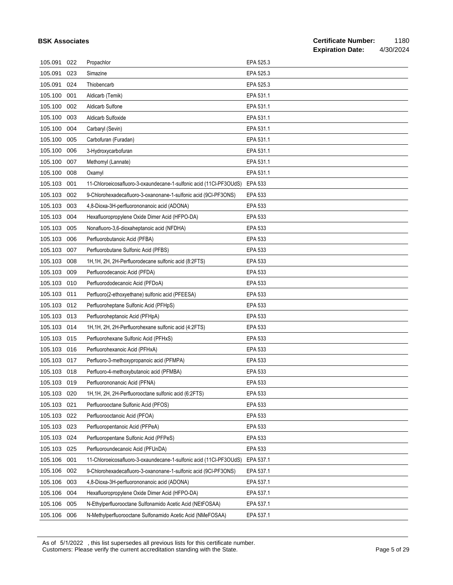|             |     |                                                                    |                | <b>Expiration Date:</b> | 4/30/2024 |
|-------------|-----|--------------------------------------------------------------------|----------------|-------------------------|-----------|
| 105.091     | 022 | Propachlor                                                         | EPA 525.3      |                         |           |
| 105.091     | 023 | Simazine                                                           | EPA 525.3      |                         |           |
| 105.091     | 024 | Thiobencarb                                                        | EPA 525.3      |                         |           |
| 105.100     | 001 | Aldicarb (Temik)                                                   | EPA 531.1      |                         |           |
| 105.100     | 002 | <b>Aldicarb Sulfone</b>                                            | EPA 531.1      |                         |           |
| 105.100     | 003 | <b>Aldicarb Sulfoxide</b>                                          | EPA 531.1      |                         |           |
| 105.100     | 004 | Carbaryl (Sevin)                                                   | EPA 531.1      |                         |           |
| 105.100     | 005 | Carbofuran (Furadan)                                               | EPA 531.1      |                         |           |
| 105.100     | 006 | 3-Hydroxycarbofuran                                                | EPA 531.1      |                         |           |
| 105.100     | 007 | Methomyl (Lannate)                                                 | EPA 531.1      |                         |           |
| 105.100     | 008 | Oxamyl                                                             | EPA 531.1      |                         |           |
| 105.103     | 001 | 11-Chloroeicosafluoro-3-oxaundecane-1-sulfonic acid (11Cl-PF3OUdS) | <b>EPA 533</b> |                         |           |
| 105.103     | 002 | 9-Chlorohexadecafluoro-3-oxanonane-1-sulfonic acid (9CI-PF3ONS)    | EPA 533        |                         |           |
| 105.103     | 003 | 4,8-Dioxa-3H-perfluorononanoic acid (ADONA)                        | EPA 533        |                         |           |
| 105.103     | 004 | Hexafluoropropylene Oxide Dimer Acid (HFPO-DA)                     | <b>EPA 533</b> |                         |           |
| 105.103     | 005 | Nonafluoro-3,6-dioxaheptanoic acid (NFDHA)                         | <b>EPA 533</b> |                         |           |
| 105.103     | 006 | Perfluorobutanoic Acid (PFBA)                                      | <b>EPA 533</b> |                         |           |
| 105.103     | 007 | Perfluorobutane Sulfonic Acid (PFBS)                               | <b>EPA 533</b> |                         |           |
| 105.103     | 008 | 1H, 1H, 2H, 2H-Perfluorodecane sulfonic acid (8:2FTS)              | <b>EPA 533</b> |                         |           |
| 105.103     | 009 | Perfluorodecanoic Acid (PFDA)                                      | <b>EPA 533</b> |                         |           |
| 105.103     | 010 | Perfluorododecanoic Acid (PFDoA)                                   | <b>EPA 533</b> |                         |           |
| 105.103     | 011 | Perfluoro(2-ethoxyethane) sulfonic acid (PFEESA)                   | <b>EPA 533</b> |                         |           |
| 105.103     | 012 | Perfluoroheptane Sulfonic Acid (PFHpS)                             | <b>EPA 533</b> |                         |           |
| 105.103     | 013 | Perfluoroheptanoic Acid (PFHpA)                                    | <b>EPA 533</b> |                         |           |
| 105.103     | 014 | 1H, 1H, 2H, 2H-Perfluorohexane sulfonic acid (4:2FTS)              | <b>EPA 533</b> |                         |           |
| 105.103     | 015 | Perfluorohexane Sulfonic Acid (PFHxS)                              | <b>EPA 533</b> |                         |           |
| 105.103     | 016 | Perfluorohexanoic Acid (PFHxA)                                     | <b>EPA 533</b> |                         |           |
| 105.103     | 017 | Perfluoro-3-methoxypropanoic acid (PFMPA)                          | <b>EPA 533</b> |                         |           |
| 105.103 018 |     | Perfluoro-4-methoxybutanoic acid (PFMBA)                           | EPA 533        |                         |           |
| 105.103 019 |     | Perfluorononanoic Acid (PFNA)                                      | EPA 533        |                         |           |
| 105.103     | 020 | 1H, 1H, 2H, 2H-Perfluorooctane sulfonic acid (6:2FTS)              | EPA 533        |                         |           |
| 105.103     | 021 | Perfluorooctane Sulfonic Acid (PFOS)                               | EPA 533        |                         |           |
| 105.103     | 022 | Perfluorooctanoic Acid (PFOA)                                      | EPA 533        |                         |           |
| 105.103     | 023 | Perfluoropentanoic Acid (PFPeA)                                    | EPA 533        |                         |           |
| 105.103     | 024 | Perfluoropentane Sulfonic Acid (PFPeS)                             | EPA 533        |                         |           |
| 105.103     | 025 | Perfluoroundecanoic Acid (PFUnDA)                                  | EPA 533        |                         |           |
| 105.106     | 001 | 11-Chloroeicosafluoro-3-oxaundecane-1-sulfonic acid (11Cl-PF3OUdS) | EPA 537.1      |                         |           |
| 105.106     | 002 | 9-Chlorohexadecafluoro-3-oxanonane-1-sulfonic acid (9CI-PF3ONS)    | EPA 537.1      |                         |           |
| 105.106     | 003 | 4,8-Dioxa-3H-perfluorononanoic acid (ADONA)                        | EPA 537.1      |                         |           |
| 105.106     | 004 | Hexafluoropropylene Oxide Dimer Acid (HFPO-DA)                     | EPA 537.1      |                         |           |
| 105.106     | 005 | N-Ethylperfluorooctane Sulfonamido Acetic Acid (NEtFOSAA)          | EPA 537.1      |                         |           |
| 105.106 006 |     | N-Methylperfluorooctane Sulfonamido Acetic Acid (NMeFOSAA)         | EPA 537.1      |                         |           |

As of 5/1/2022 , this list supersedes all previous lists for this certificate number. Customers: Please verify the current accreditation standing with the State. Page 5 of 29

**BSK Associates**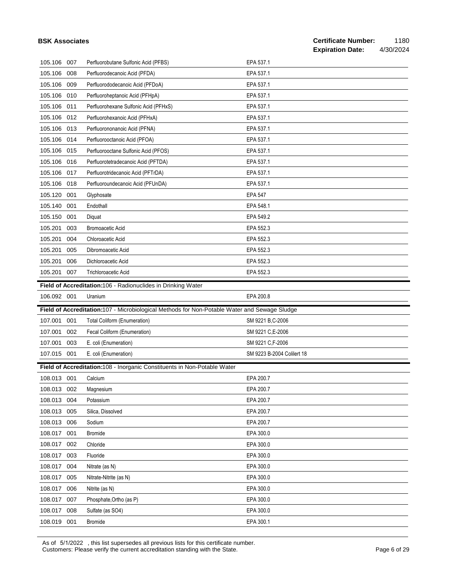|             |     |                                                                                              |                            | <b>Expiration Date:</b> | 4/30/2024 |
|-------------|-----|----------------------------------------------------------------------------------------------|----------------------------|-------------------------|-----------|
| 105.106     | 007 | Perfluorobutane Sulfonic Acid (PFBS)                                                         | EPA 537.1                  |                         |           |
| 105.106     | 008 | Perfluorodecanoic Acid (PFDA)                                                                | EPA 537.1                  |                         |           |
| 105.106     | 009 | Perfluorododecanoic Acid (PFDoA)                                                             | EPA 537.1                  |                         |           |
| 105.106     | 010 | Perfluoroheptanoic Acid (PFHpA)                                                              | EPA 537.1                  |                         |           |
| 105.106     | 011 | Perfluorohexane Sulfonic Acid (PFHxS)                                                        | EPA 537.1                  |                         |           |
| 105.106     | 012 | Perfluorohexanoic Acid (PFHxA)                                                               | EPA 537.1                  |                         |           |
| 105.106     | 013 | Perfluorononanoic Acid (PFNA)                                                                | EPA 537.1                  |                         |           |
| 105.106     | 014 | Perfluorooctanoic Acid (PFOA)                                                                | EPA 537.1                  |                         |           |
| 105.106     | 015 | Perfluorooctane Sulfonic Acid (PFOS)                                                         | EPA 537.1                  |                         |           |
| 105.106     | 016 | Perfluorotetradecanoic Acid (PFTDA)                                                          | EPA 537.1                  |                         |           |
| 105.106     | 017 | Perfluorotridecanoic Acid (PFTrDA)                                                           | EPA 537.1                  |                         |           |
| 105.106     | 018 | Perfluoroundecanoic Acid (PFUnDA)                                                            | EPA 537.1                  |                         |           |
| 105.120     | 001 | Glyphosate                                                                                   | <b>EPA 547</b>             |                         |           |
| 105.140     | 001 | Endothall                                                                                    | EPA 548.1                  |                         |           |
| 105.150     | 001 | Diquat                                                                                       | EPA 549.2                  |                         |           |
| 105.201     | 003 | <b>Bromoacetic Acid</b>                                                                      | EPA 552.3                  |                         |           |
| 105.201     | 004 | Chloroacetic Acid                                                                            | EPA 552.3                  |                         |           |
| 105.201     | 005 | Dibromoacetic Acid                                                                           | EPA 552.3                  |                         |           |
| 105.201     | 006 | Dichloroacetic Acid                                                                          | EPA 552.3                  |                         |           |
| 105.201     | 007 | <b>Trichloroacetic Acid</b>                                                                  | EPA 552.3                  |                         |           |
|             |     | Field of Accreditation:106 - Radionuclides in Drinking Water                                 |                            |                         |           |
| 106.092 001 |     | Uranium                                                                                      | EPA 200.8                  |                         |           |
|             |     | Field of Accreditation:107 - Microbiological Methods for Non-Potable Water and Sewage Sludge |                            |                         |           |
| 107.001     | 001 | <b>Total Coliform (Enumeration)</b>                                                          | SM 9221 B, C-2006          |                         |           |
| 107.001     | 002 | Fecal Coliform (Enumeration)                                                                 | SM 9221 C,E-2006           |                         |           |
| 107.001     | 003 | E. coli (Enumeration)                                                                        | SM 9221 C,F-2006           |                         |           |
| 107.015 001 |     | E. coli (Enumeration)                                                                        | SM 9223 B-2004 Colilert 18 |                         |           |
|             |     | Field of Accreditation:108 - Inorganic Constituents in Non-Potable Water                     |                            |                         |           |
| 108.013 001 |     | Calcium                                                                                      | EPA 200.7                  |                         |           |
| 108.013 002 |     | Magnesium                                                                                    | EPA 200.7                  |                         |           |
| 108.013 004 |     | Potassium                                                                                    | EPA 200.7                  |                         |           |
| 108.013 005 |     | Silica, Dissolved                                                                            | EPA 200.7                  |                         |           |
| 108.013 006 |     | Sodium                                                                                       | EPA 200.7                  |                         |           |
| 108.017 001 |     | <b>Bromide</b>                                                                               | EPA 300.0                  |                         |           |
| 108.017 002 |     | Chloride                                                                                     | EPA 300.0                  |                         |           |
| 108.017 003 |     | Fluoride                                                                                     | EPA 300.0                  |                         |           |
| 108.017 004 |     | Nitrate (as N)                                                                               | EPA 300.0                  |                         |           |
| 108.017 005 |     | Nitrate-Nitrite (as N)                                                                       | EPA 300.0                  |                         |           |
| 108.017     | 006 | Nitrite (as N)                                                                               | EPA 300.0                  |                         |           |
| 108.017     | 007 | Phosphate, Ortho (as P)                                                                      | EPA 300.0                  |                         |           |
| 108.017 008 |     | Sulfate (as SO4)                                                                             | EPA 300.0                  |                         |           |
| 108.019 001 |     | Bromide                                                                                      | EPA 300.1                  |                         |           |

As of 5/1/2022 , this list supersedes all previous lists for this certificate number. Customers: Please verify the current accreditation standing with the State. Page 6 of 29

**BSK Associates**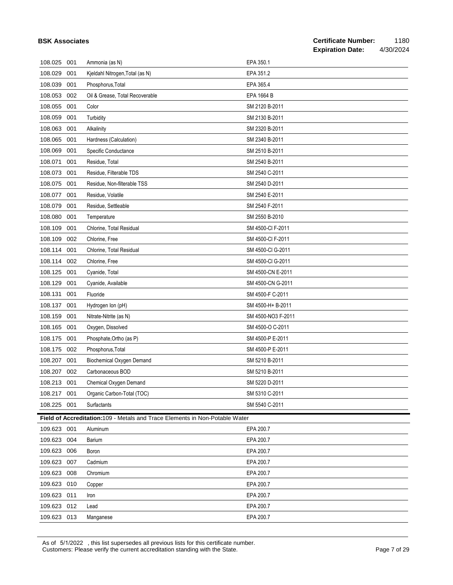| 108.029     | 001 | Kjeldahl Nitrogen, Total (as N)                                                    | EPA 351.2          |
|-------------|-----|------------------------------------------------------------------------------------|--------------------|
| 108.039     | 001 | Phosphorus, Total                                                                  | EPA 365.4          |
| 108.053     | 002 | Oil & Grease, Total Recoverable                                                    | EPA 1664 B         |
| 108.055     | 001 | Color                                                                              | SM 2120 B-2011     |
| 108.059     | 001 | Turbidity                                                                          | SM 2130 B-2011     |
| 108.063     | 001 | Alkalinity                                                                         | SM 2320 B-2011     |
| 108.065     | 001 | Hardness (Calculation)                                                             | SM 2340 B-2011     |
| 108.069     | 001 | Specific Conductance                                                               | SM 2510 B-2011     |
| 108.071     | 001 | Residue, Total                                                                     | SM 2540 B-2011     |
| 108.073     | 001 | Residue, Filterable TDS                                                            | SM 2540 C-2011     |
| 108.075     | 001 | Residue, Non-filterable TSS                                                        | SM 2540 D-2011     |
| 108.077     | 001 | Residue, Volatile                                                                  | SM 2540 E-2011     |
| 108.079     | 001 | Residue, Settleable                                                                | SM 2540 F-2011     |
| 108.080     | 001 | Temperature                                                                        | SM 2550 B-2010     |
| 108.109     | 001 | Chlorine, Total Residual                                                           | SM 4500-CI F-2011  |
| 108.109     | 002 | Chlorine, Free                                                                     | SM 4500-CI F-2011  |
| 108.114     | 001 | Chlorine, Total Residual                                                           | SM 4500-CI G-2011  |
| 108.114     | 002 | Chlorine, Free                                                                     | SM 4500-CI G-2011  |
| 108.125     | 001 | Cyanide, Total                                                                     | SM 4500-CN E-2011  |
| 108.129     | 001 | Cyanide, Available                                                                 | SM 4500-CN G-2011  |
| 108.131     | 001 | Fluoride                                                                           | SM 4500-F C-2011   |
| 108.137     | 001 | Hydrogen Ion (pH)                                                                  | SM 4500-H+ B-2011  |
| 108.159     | 001 | Nitrate-Nitrite (as N)                                                             | SM 4500-NO3 F-2011 |
| 108.165     | 001 | Oxygen, Dissolved                                                                  | SM 4500-O C-2011   |
| 108.175     | 001 | Phosphate, Ortho (as P)                                                            | SM 4500-P E-2011   |
| 108.175     | 002 | Phosphorus, Total                                                                  | SM 4500-P E-2011   |
| 108.207     | 001 | Biochemical Oxygen Demand                                                          | SM 5210 B-2011     |
| 108.207     | 002 | Carbonaceous BOD                                                                   | SM 5210 B-2011     |
| 108.213     | 001 | Chemical Oxygen Demand                                                             | SM 5220 D-2011     |
| 108.217     | 001 | Organic Carbon-Total (TOC)                                                         | SM 5310 C-2011     |
| 108.225 001 |     | Surfactants                                                                        | SM 5540 C-2011     |
|             |     | <b>Field of Accreditation:109 - Metals and Trace Elements in Non-Potable Water</b> |                    |
| 109.623     | 001 | Aluminum                                                                           | EPA 200.7          |
| 109.623     | 004 | Barium                                                                             | EPA 200.7          |
| 109.623     | 006 | Boron                                                                              | EPA 200.7          |
| 109.623     | 007 | Cadmium                                                                            | EPA 200.7          |
| 109.623     | 008 | Chromium                                                                           | EPA 200.7          |
| 109.623     | 010 | Copper                                                                             | EPA 200.7          |
| 109.623     | 011 | Iron                                                                               | EPA 200.7          |
| 109.623 012 |     | Lead                                                                               | EPA 200.7          |

As of 5/1/2022 , this list supersedes all previous lists for this certificate number. Customers: Please verify the current accreditation standing with the State. Page 7 of 29

109.623 013 Manganese EPA 200.7

**BSK Associates**

108.025 001 Ammonia (as N) EPA 350.1

#### **Certificate Number:** 1180 **Expiration Date:** 4/30/2024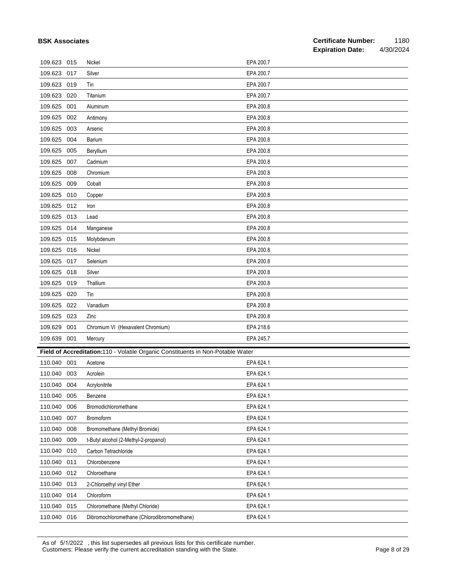| <b>BSK Associates</b> |     |                                                                                 |           | <b>Certificate Number:</b><br><b>Expiration Date:</b> | 1180<br>4/30/2024 |
|-----------------------|-----|---------------------------------------------------------------------------------|-----------|-------------------------------------------------------|-------------------|
| 109.623 015           |     | Nickel                                                                          | EPA 200.7 |                                                       |                   |
| 109.623               | 017 | Silver                                                                          | EPA 200.7 |                                                       |                   |
| 109.623               | 019 | Tin                                                                             | EPA 200.7 |                                                       |                   |
| 109.623               | 020 | Titanium                                                                        | EPA 200.7 |                                                       |                   |
| 109.625               | 001 | Aluminum                                                                        | EPA 200.8 |                                                       |                   |
| 109.625               | 002 | Antimony                                                                        | EPA 200.8 |                                                       |                   |
| 109.625               | 003 | Arsenic                                                                         | EPA 200.8 |                                                       |                   |
| 109.625               | 004 | <b>Barium</b>                                                                   | EPA 200.8 |                                                       |                   |
| 109.625               | 005 | Beryllium                                                                       | EPA 200.8 |                                                       |                   |
| 109.625               | 007 | Cadmium                                                                         | EPA 200.8 |                                                       |                   |
| 109.625               | 008 | Chromium                                                                        | EPA 200.8 |                                                       |                   |
| 109.625               | 009 | Cobalt                                                                          | EPA 200.8 |                                                       |                   |
| 109.625               | 010 | Copper                                                                          | EPA 200.8 |                                                       |                   |
| 109.625               | 012 | Iron                                                                            | EPA 200.8 |                                                       |                   |
| 109.625               | 013 | Lead                                                                            | EPA 200.8 |                                                       |                   |
| 109.625               | 014 | Manganese                                                                       | EPA 200.8 |                                                       |                   |
| 109.625               | 015 | Molybdenum                                                                      | EPA 200.8 |                                                       |                   |
| 109.625               | 016 | Nickel                                                                          | EPA 200.8 |                                                       |                   |
| 109.625               | 017 | Selenium                                                                        | EPA 200.8 |                                                       |                   |
| 109.625               | 018 | Silver                                                                          | EPA 200.8 |                                                       |                   |
| 109.625               | 019 | Thallium                                                                        | EPA 200.8 |                                                       |                   |
| 109.625               | 020 | Tin                                                                             | EPA 200.8 |                                                       |                   |
| 109.625               | 022 | Vanadium                                                                        | EPA 200.8 |                                                       |                   |
| 109.625               | 023 | Zinc                                                                            | EPA 200.8 |                                                       |                   |
| 109.629               | 001 | Chromium VI (Hexavalent Chromium)                                               | EPA 218.6 |                                                       |                   |
| 109.639               | 001 | Mercury                                                                         | EPA 245.7 |                                                       |                   |
|                       |     | Field of Accreditation:110 - Volatile Organic Constituents in Non-Potable Water |           |                                                       |                   |
| 110.040 001           |     | Acetone                                                                         | EPA 624.1 |                                                       |                   |
| 110.040               | 003 | Acrolein                                                                        | EPA 624.1 |                                                       |                   |
| 110.040               | 004 | Acrylonitrile                                                                   | EPA 624.1 |                                                       |                   |
| 110.040               | 005 | Benzene                                                                         | EPA 624.1 |                                                       |                   |
| 110.040               | 006 | Bromodichloromethane                                                            | EPA 624.1 |                                                       |                   |
| 110.040               | 007 | Bromoform                                                                       | EPA 624.1 |                                                       |                   |
| 110.040               | 008 | Bromomethane (Methyl Bromide)                                                   | EPA 624.1 |                                                       |                   |
| 110.040               | 009 | t-Butyl alcohol (2-Methyl-2-propanol)                                           | EPA 624.1 |                                                       |                   |
| 110.040               | 010 | Carbon Tetrachloride                                                            | EPA 624.1 |                                                       |                   |
| 110.040               | 011 | Chlorobenzene                                                                   | EPA 624.1 |                                                       |                   |
| 110.040               | 012 | Chloroethane                                                                    | EPA 624.1 |                                                       |                   |
| 110.040               | 013 | 2-Chloroethyl vinyl Ether                                                       | EPA 624.1 |                                                       |                   |
| 110.040               | 014 | Chloroform                                                                      | EPA 624.1 |                                                       |                   |
| 110.040               | 015 | Chloromethane (Methyl Chloride)                                                 | EPA 624.1 |                                                       |                   |
| 110.040 016           |     | Dibromochloromethane (Chlorodibromomethane)                                     | EPA 624.1 |                                                       |                   |

As of 5/1/2022 , this list supersedes all previous lists for this certificate number. Customers: Please verify the current accreditation standing with the State. Page 8 of 29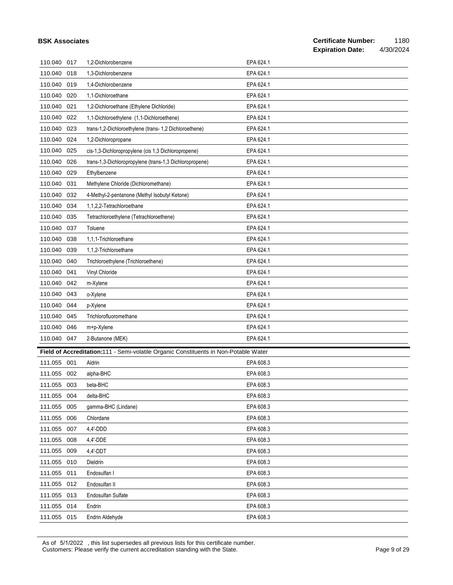# **Certificate Number:** 1180<br>**Expiration Date:** 4/30/2024

| 110.040 017 |     | 1,2-Dichlorobenzene                                                                  | EPA 624.1 |
|-------------|-----|--------------------------------------------------------------------------------------|-----------|
| 110.040     | 018 | 1,3-Dichlorobenzene                                                                  | EPA 624.1 |
| 110.040     | 019 | 1,4-Dichlorobenzene                                                                  | EPA 624.1 |
| 110.040     | 020 | 1,1-Dichloroethane                                                                   | EPA 624.1 |
| 110.040     | 021 | 1,2-Dichloroethane (Ethylene Dichloride)                                             | EPA 624.1 |
| 110.040     | 022 | 1,1-Dichloroethylene (1,1-Dichloroethene)                                            | EPA 624.1 |
| 110.040     | 023 | trans-1,2-Dichloroethylene (trans- 1,2 Dichloroethene)                               | EPA 624.1 |
| 110.040     | 024 | 1,2-Dichloropropane                                                                  | EPA 624.1 |
| 110.040     | 025 | cis-1,3-Dichloropropylene (cis 1,3 Dichloropropene)                                  | EPA 624.1 |
| 110.040     | 026 | trans-1,3-Dichloropropylene (trans-1,3 Dichloropropene)                              | EPA 624.1 |
| 110.040     | 029 | Ethylbenzene                                                                         | EPA 624.1 |
| 110.040     | 031 | Methylene Chloride (Dichloromethane)                                                 | EPA 624.1 |
| 110.040     | 032 | 4-Methyl-2-pentanone (Methyl Isobutyl Ketone)                                        | EPA 624.1 |
| 110.040     | 034 | 1,1,2,2-Tetrachloroethane                                                            | EPA 624.1 |
| 110.040     | 035 | Tetrachloroethylene (Tetrachloroethene)                                              | EPA 624.1 |
| 110.040     | 037 | Toluene                                                                              | EPA 624.1 |
| 110.040     | 038 | 1,1,1-Trichloroethane                                                                | EPA 624.1 |
| 110.040     | 039 | 1,1,2-Trichloroethane                                                                | EPA 624.1 |
| 110.040     | 040 | Trichloroethylene (Trichloroethene)                                                  | EPA 624.1 |
| 110.040 041 |     | Vinyl Chloride                                                                       | EPA 624.1 |
| 110.040 042 |     | m-Xylene                                                                             | EPA 624.1 |
| 110.040     | 043 | o-Xylene                                                                             | EPA 624.1 |
| 110.040     | 044 | p-Xylene                                                                             | EPA 624.1 |
| 110.040     | 045 | Trichlorofluoromethane                                                               | EPA 624.1 |
| 110.040 046 |     | m+p-Xylene                                                                           | EPA 624.1 |
| 110.040 047 |     | 2-Butanone (MEK)                                                                     | EPA 624.1 |
|             |     | Field of Accreditation:111 - Semi-volatile Organic Constituents in Non-Potable Water |           |
| 111.055     | 001 | Aldrin                                                                               | EPA 608.3 |
| 111.055     | 002 | alpha-BHC                                                                            | EPA 608.3 |
| 111.055 003 |     | beta-BHC                                                                             | EPA 608.3 |
| 111.055 004 |     | delta-BHC                                                                            | EPA 608.3 |
| 111.055 005 |     | gamma-BHC (Lindane)                                                                  | EPA 608.3 |
| 111.055 006 |     | Chlordane                                                                            | EPA 608.3 |
| 111.055 007 |     | 4,4'-DDD                                                                             | EPA 608.3 |
| 111.055 008 |     | 4,4'-DDE                                                                             | EPA 608.3 |
| 111.055 009 |     | 4,4'-DDT                                                                             | EPA 608.3 |
| 111.055 010 |     | Dieldrin                                                                             | EPA 608.3 |
| 111.055 011 |     | Endosulfan I                                                                         | EPA 608.3 |
| 111.055 012 |     | Endosulfan II                                                                        | EPA 608.3 |
|             |     |                                                                                      |           |
| 111.055 013 |     | Endosulfan Sulfate                                                                   | EPA 608.3 |
| 111.055 014 |     | Endrin                                                                               | EPA 608.3 |

As of 5/1/2022 , this list supersedes all previous lists for this certificate number. Customers: Please verify the current accreditation standing with the State. Page 9 of 29 of 29 of 29 of 29 of 29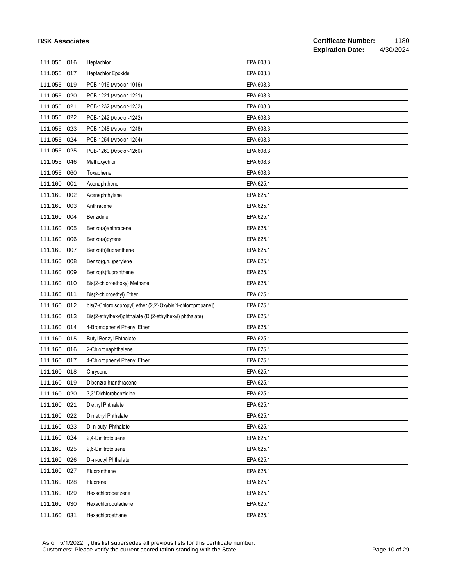|             | <b>BSK Associates</b> |                                                             |           | <b>Certificate Number:</b><br><b>Expiration Date:</b> | 1180<br>4/30/2024 |
|-------------|-----------------------|-------------------------------------------------------------|-----------|-------------------------------------------------------|-------------------|
| 111.055 016 |                       | Heptachlor                                                  | EPA 608.3 |                                                       |                   |
| 111.055     | 017                   | Heptachlor Epoxide                                          | EPA 608.3 |                                                       |                   |
| 111.055     | 019                   | PCB-1016 (Aroclor-1016)                                     | EPA 608.3 |                                                       |                   |
| 111.055     | 020                   | PCB-1221 (Aroclor-1221)                                     | EPA 608.3 |                                                       |                   |
| 111.055     | 021                   | PCB-1232 (Aroclor-1232)                                     | EPA 608.3 |                                                       |                   |
| 111.055     | 022                   | PCB-1242 (Aroclor-1242)                                     | EPA 608.3 |                                                       |                   |
| 111.055     | 023                   | PCB-1248 (Aroclor-1248)                                     | EPA 608.3 |                                                       |                   |
| 111.055     | 024                   | PCB-1254 (Aroclor-1254)                                     | EPA 608.3 |                                                       |                   |
| 111.055     | 025                   | PCB-1260 (Aroclor-1260)                                     | EPA 608.3 |                                                       |                   |
| 111.055     | 046                   | Methoxychlor                                                | EPA 608.3 |                                                       |                   |
| 111.055     | 060                   | Toxaphene                                                   | EPA 608.3 |                                                       |                   |
| 111.160     | 001                   | Acenaphthene                                                | EPA 625.1 |                                                       |                   |
| 111.160     | 002                   | Acenaphthylene                                              | EPA 625.1 |                                                       |                   |
| 111.160     | 003                   | Anthracene                                                  | EPA 625.1 |                                                       |                   |
| 111.160     | 004                   | Benzidine                                                   | EPA 625.1 |                                                       |                   |
| 111.160     | 005                   | Benzo(a)anthracene                                          | EPA 625.1 |                                                       |                   |
| 111.160     | 006                   | Benzo(a)pyrene                                              | EPA 625.1 |                                                       |                   |
| 111.160     | 007                   | Benzo(b)fluoranthene                                        | EPA 625.1 |                                                       |                   |
| 111.160     | 008                   | Benzo(g,h,i)perylene                                        | EPA 625.1 |                                                       |                   |
| 111.160     | 009                   | Benzo(k)fluoranthene                                        | EPA 625.1 |                                                       |                   |
| 111.160     | 010                   | Bis(2-chloroethoxy) Methane                                 | EPA 625.1 |                                                       |                   |
| 111.160     | 011                   | Bis(2-chloroethyl) Ether                                    | EPA 625.1 |                                                       |                   |
| 111.160     | 012                   | bis(2-Chloroisopropyl) ether (2,2'-Oxybis[1-chloropropane]) | EPA 625.1 |                                                       |                   |
| 111.160     | 013                   | Bis(2-ethylhexyl)phthalate (Di(2-ethylhexyl) phthalate)     | EPA 625.1 |                                                       |                   |
| 111.160     | 014                   | 4-Bromophenyl Phenyl Ether                                  | EPA 625.1 |                                                       |                   |
| 111.160     | 015                   | <b>Butyl Benzyl Phthalate</b>                               | EPA 625.1 |                                                       |                   |
| 111.160     | 016                   | 2-Chloronaphthalene                                         | EPA 625.1 |                                                       |                   |
| 111.160 017 |                       | 4-Chlorophenyl Phenyl Ether                                 | EPA 625.1 |                                                       |                   |
| 111.160     | 018                   | Chrysene                                                    | EPA 625.1 |                                                       |                   |
| 111.160     | 019                   | Dibenz(a,h)anthracene                                       | EPA 625.1 |                                                       |                   |
| 111.160     | 020                   | 3.3'-Dichlorobenzidine                                      | EPA 625.1 |                                                       |                   |
| 111.160     | 021                   | Diethyl Phthalate                                           | EPA 625.1 |                                                       |                   |
| 111.160     | 022                   | Dimethyl Phthalate                                          | EPA 625.1 |                                                       |                   |
| 111.160     | 023                   | Di-n-butyl Phthalate                                        | EPA 625.1 |                                                       |                   |
| 111.160     | 024                   | 2,4-Dinitrotoluene                                          | EPA 625.1 |                                                       |                   |
| 111.160     | 025                   | 2,6-Dinitrotoluene                                          | EPA 625.1 |                                                       |                   |
| 111.160     | 026                   | Di-n-octyl Phthalate                                        | EPA 625.1 |                                                       |                   |
| 111.160     | 027                   | Fluoranthene                                                | EPA 625.1 |                                                       |                   |
| 111.160     | 028                   | Fluorene                                                    | EPA 625.1 |                                                       |                   |
| 111.160     | 029                   | Hexachlorobenzene                                           | EPA 625.1 |                                                       |                   |
| 111.160     | 030                   | Hexachlorobutadiene                                         | EPA 625.1 |                                                       |                   |
| 111.160     | 031                   | Hexachloroethane                                            | EPA 625.1 |                                                       |                   |

As of 5/1/2022 , this list supersedes all previous lists for this certificate number. Customers: Please verify the current accreditation standing with the State. Current content of 29 Page 10 of 29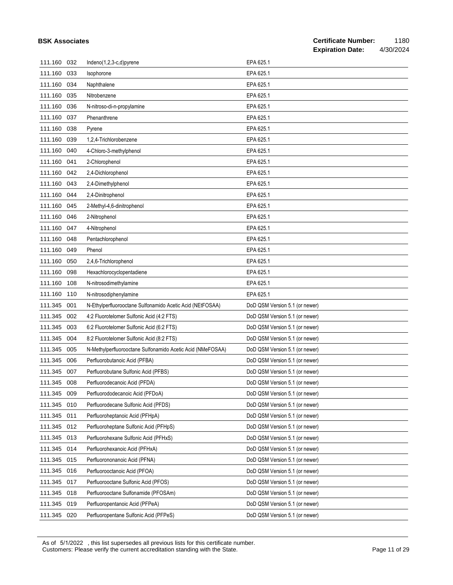| 111.160     | 032 | Indeno(1,2,3-c,d)pyrene                                    | EPA 625.1                      |
|-------------|-----|------------------------------------------------------------|--------------------------------|
| 111.160     | 033 | Isophorone                                                 | EPA 625.1                      |
| 111.160     | 034 | Naphthalene                                                | EPA 625.1                      |
| 111.160     | 035 | Nitrobenzene                                               | EPA 625.1                      |
| 111.160     | 036 | N-nitroso-di-n-propylamine                                 | EPA 625.1                      |
| 111.160     | 037 | Phenanthrene                                               | EPA 625.1                      |
| 111.160     | 038 | Pyrene                                                     | EPA 625.1                      |
| 111.160     | 039 | 1,2,4-Trichlorobenzene                                     | EPA 625.1                      |
| 111.160     | 040 | 4-Chloro-3-methylphenol                                    | EPA 625.1                      |
| 111.160     | 041 | 2-Chlorophenol                                             | EPA 625.1                      |
| 111.160     | 042 | 2,4-Dichlorophenol                                         | EPA 625.1                      |
| 111.160     | 043 | 2,4-Dimethylphenol                                         | EPA 625.1                      |
| 111.160     | 044 | 2,4-Dinitrophenol                                          | EPA 625.1                      |
| 111.160     | 045 | 2-Methyl-4,6-dinitrophenol                                 | EPA 625.1                      |
| 111.160     | 046 | 2-Nitrophenol                                              | EPA 625.1                      |
| 111.160     | 047 | 4-Nitrophenol                                              | EPA 625.1                      |
| 111.160     | 048 | Pentachlorophenol                                          | EPA 625.1                      |
| 111.160     | 049 | Phenol                                                     | EPA 625.1                      |
| 111.160     | 050 | 2,4,6-Trichlorophenol                                      | EPA 625.1                      |
| 111.160     | 098 | Hexachlorocyclopentadiene                                  | EPA 625.1                      |
| 111.160     | 108 | N-nitrosodimethylamine                                     | EPA 625.1                      |
| 111.160     | 110 | N-nitrosodiphenylamine                                     | EPA 625.1                      |
| 111.345     | 001 | N-Ethylperfluorooctane Sulfonamido Acetic Acid (NEtFOSAA)  | DoD QSM Version 5.1 (or newer) |
| 111.345     | 002 | 4:2 Fluorotelomer Sulfonic Acid (4:2 FTS)                  | DoD QSM Version 5.1 (or newer) |
| 111.345     | 003 | 6:2 Fluorotelomer Sulfonic Acid (6:2 FTS)                  | DoD QSM Version 5.1 (or newer) |
| 111.345     | 004 | 8:2 Fluorotelomer Sulfonic Acid (8:2 FTS)                  | DoD QSM Version 5.1 (or newer) |
| 111.345     | 005 | N-Methylperfluorooctane Sulfonamido Acetic Acid (NMeFOSAA) | DoD QSM Version 5.1 (or newer) |
| 111.345     | 006 | Perfluorobutanoic Acid (PFBA)                              | DoD QSM Version 5.1 (or newer) |
| 111.345     | 007 | Perfluorobutane Sulfonic Acid (PFBS)                       | DoD QSM Version 5.1 (or newer) |
| 111.345 008 |     | Perfluorodecanoic Acid (PFDA)                              | DoD QSM Version 5.1 (or newer) |
| 111.345     | 009 | Perfluorododecanoic Acid (PFDoA)                           | DoD QSM Version 5.1 (or newer) |
| 111.345     | 010 | Perfluorodecane Sulfonic Acid (PFDS)                       | DoD QSM Version 5.1 (or newer) |
| 111.345     | 011 | Perfluoroheptanoic Acid (PFHpA)                            | DoD QSM Version 5.1 (or newer) |
| 111.345     | 012 | Perfluoroheptane Sulfonic Acid (PFHpS)                     | DoD QSM Version 5.1 (or newer) |
| 111.345     | 013 | Perfluorohexane Sulfonic Acid (PFHxS)                      | DoD QSM Version 5.1 (or newer) |
| 111.345     | 014 | Perfluorohexanoic Acid (PFHxA)                             | DoD QSM Version 5.1 (or newer) |
| 111.345     | 015 | Perfluorononanoic Acid (PFNA)                              | DoD QSM Version 5.1 (or newer) |
| 111.345     | 016 | Perfluorooctanoic Acid (PFOA)                              | DoD QSM Version 5.1 (or newer) |
| 111.345     | 017 | Perfluorooctane Sulfonic Acid (PFOS)                       | DoD QSM Version 5.1 (or newer) |
| 111.345     | 018 | Perfluorooctane Sulfonamide (PFOSAm)                       | DoD QSM Version 5.1 (or newer) |
| 111.345     | 019 | Perfluoropentanoic Acid (PFPeA)                            | DoD QSM Version 5.1 (or newer) |
| 111.345     | 020 | Perfluoropentane Sulfonic Acid (PFPeS)                     | DoD QSM Version 5.1 (or newer) |

As of 5/1/2022 , this list supersedes all previous lists for this certificate number.

Customers: Please verify the current accreditation standing with the State. Current content of 29 Page 11 of 29

**BSK Associates**

#### **Certificate Number:** 1180<br>**Expiration Date:** 4/30/2024 **Expiration Date:**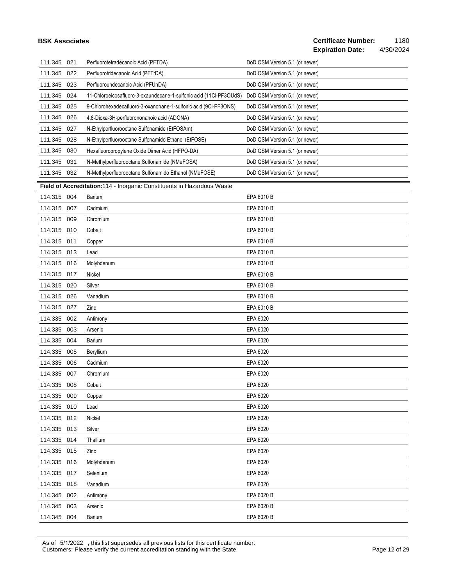#### **BSK Associates**

| 111.345     | 021 | Perfluorotetradecanoic Acid (PFTDA)                                    | DoD QSM Version 5.1 (or newer) |
|-------------|-----|------------------------------------------------------------------------|--------------------------------|
| 111.345     | 022 | Perfluorotridecanoic Acid (PFTrDA)                                     | DoD QSM Version 5.1 (or newer) |
| 111.345     | 023 | Perfluoroundecanoic Acid (PFUnDA)                                      | DoD QSM Version 5.1 (or newer) |
| 111.345     | 024 | 11-Chloroeicosafluoro-3-oxaundecane-1-sulfonic acid (11Cl-PF3OUdS)     | DoD QSM Version 5.1 (or newer) |
| 111.345     | 025 | 9-Chlorohexadecafluoro-3-oxanonane-1-sulfonic acid (9CI-PF3ONS)        | DoD QSM Version 5.1 (or newer) |
| 111.345     | 026 | 4,8-Dioxa-3H-perfluorononanoic acid (ADONA)                            | DoD QSM Version 5.1 (or newer) |
| 111.345     | 027 | N-Ethylperfluorooctane Sulfonamide (EtFOSAm)                           | DoD QSM Version 5.1 (or newer) |
| 111.345     | 028 | N-Ethylperfluorooctane Sulfonamido Ethanol (EtFOSE)                    | DoD QSM Version 5.1 (or newer) |
| 111.345     | 030 | Hexafluoropropylene Oxide Dimer Acid (HFPO-DA)                         | DoD QSM Version 5.1 (or newer) |
| 111.345     | 031 | N-Methylperfluorooctane Sulfonamide (NMeFOSA)                          | DoD QSM Version 5.1 (or newer) |
| 111.345     | 032 | N-Methylperfluorooctane Sulfonamido Ethanol (NMeFOSE)                  | DoD QSM Version 5.1 (or newer) |
|             |     | Field of Accreditation:114 - Inorganic Constituents in Hazardous Waste |                                |
| 114.315 004 |     | Barium                                                                 | EPA 6010 B                     |
| 114.315     | 007 | Cadmium                                                                | EPA 6010 B                     |
| 114.315     | 009 | Chromium                                                               | EPA 6010 B                     |
| 114.315     | 010 | Cobalt                                                                 | EPA 6010 B                     |
| 114.315     | 011 | Copper                                                                 | EPA 6010 B                     |
| 114.315     | 013 | Lead                                                                   | EPA 6010 B                     |
| 114.315     | 016 | Molybdenum                                                             | EPA 6010 B                     |
| 114.315     | 017 | Nickel                                                                 | EPA 6010 B                     |
| 114.315     | 020 | Silver                                                                 | EPA 6010 B                     |
| 114.315     | 026 | Vanadium                                                               | EPA 6010 B                     |
| 114.315     | 027 | Zinc                                                                   | EPA 6010 B                     |
| 114.335     | 002 | Antimony                                                               | EPA 6020                       |
| 114.335     | 003 | Arsenic                                                                | EPA 6020                       |
| 114.335     | 004 | Barium                                                                 | EPA 6020                       |
| 114.335     | 005 | Beryllium                                                              | EPA 6020                       |
| 114.335     | 006 | Cadmium                                                                | EPA 6020                       |
| 114.335     | 007 | Chromium                                                               | EPA 6020                       |
| 114.335     | 008 | Cobalt                                                                 | EPA 6020                       |
| 114.335 009 |     | Copper                                                                 | EPA 6020                       |
| 114.335     | 010 | Lead                                                                   | EPA 6020                       |
| 114.335 012 |     | Nickel                                                                 | EPA 6020                       |
| 114.335     | 013 | Silver                                                                 | EPA 6020                       |
| 114.335 014 |     | Thallium                                                               | EPA 6020                       |
| 114.335     | 015 | Zinc                                                                   | EPA 6020                       |
| 114.335     | 016 | Molybdenum                                                             | EPA 6020                       |
| 114.335     | 017 | Selenium                                                               | EPA 6020                       |
| 114.335     | 018 | Vanadium                                                               | EPA 6020                       |
| 114.345     | 002 | Antimony                                                               | EPA 6020 B                     |
| 114.345     | 003 | Arsenic                                                                | EPA 6020 B                     |
| 114.345     | 004 | Barium                                                                 | EPA 6020 B                     |

As of 5/1/2022 , this list supersedes all previous lists for this certificate number. Customers: Please verify the current accreditation standing with the State. Customers: Please 12 of 29 of 29 of 29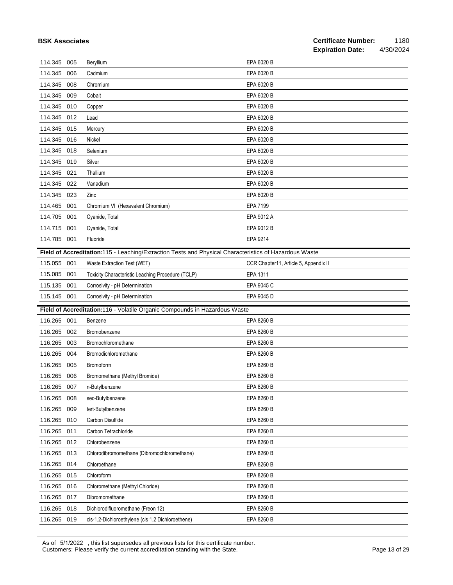| <b>BSK Associates</b> |     |                                                                                                        |                                       | <b>Certificate Number:</b> | 1180      |
|-----------------------|-----|--------------------------------------------------------------------------------------------------------|---------------------------------------|----------------------------|-----------|
|                       |     |                                                                                                        |                                       | <b>Expiration Date:</b>    | 4/30/2024 |
| 114.345 005           |     | Beryllium                                                                                              | EPA 6020 B                            |                            |           |
| 114.345               | 006 | Cadmium                                                                                                | EPA 6020 B                            |                            |           |
| 114.345 008           |     | Chromium                                                                                               | EPA 6020 B                            |                            |           |
| 114.345 009           |     | Cobalt                                                                                                 | EPA 6020 B                            |                            |           |
| 114.345               | 010 | Copper                                                                                                 | EPA 6020 B                            |                            |           |
| 114.345 012           |     | Lead                                                                                                   | EPA 6020 B                            |                            |           |
| 114.345 015           |     | Mercury                                                                                                | EPA 6020 B                            |                            |           |
| 114.345 016           |     | Nickel                                                                                                 | EPA 6020 B                            |                            |           |
| 114.345 018           |     | Selenium                                                                                               | EPA 6020 B                            |                            |           |
| 114.345 019           |     | Silver                                                                                                 | EPA 6020 B                            |                            |           |
| 114.345 021           |     | Thallium                                                                                               | EPA 6020 B                            |                            |           |
| 114.345 022           |     | Vanadium                                                                                               | EPA 6020 B                            |                            |           |
| 114.345 023           |     | Zinc                                                                                                   | EPA 6020 B                            |                            |           |
| 114.465 001           |     | Chromium VI (Hexavalent Chromium)                                                                      | EPA 7199                              |                            |           |
| 114.705               | 001 | Cyanide, Total                                                                                         | EPA 9012 A                            |                            |           |
| 114.715               | 001 | Cyanide, Total                                                                                         | EPA 9012 B                            |                            |           |
| 114.785 001           |     | Fluoride                                                                                               | EPA 9214                              |                            |           |
|                       |     | Field of Accreditation:115 - Leaching/Extraction Tests and Physical Characteristics of Hazardous Waste |                                       |                            |           |
| 115.055 001           |     | Waste Extraction Test (WET)                                                                            | CCR Chapter11, Article 5, Appendix II |                            |           |
| 115.085               | 001 | Toxicity Characteristic Leaching Procedure (TCLP)                                                      | EPA 1311                              |                            |           |
| 115.135               | 001 | Corrosivity - pH Determination                                                                         | EPA 9045 C                            |                            |           |
| 115.145 001           |     | Corrosivity - pH Determination                                                                         | EPA 9045 D                            |                            |           |
|                       |     | Field of Accreditation:116 - Volatile Organic Compounds in Hazardous Waste                             |                                       |                            |           |
| 116.265 001           |     | Benzene                                                                                                | EPA 8260 B                            |                            |           |
| 116.265               | 002 | Bromobenzene                                                                                           | EPA 8260 B                            |                            |           |
| 116.265               | 003 | Bromochloromethane                                                                                     | EPA 8260 B                            |                            |           |
| 116.265               | 004 | Bromodichloromethane                                                                                   | EPA 8260 B                            |                            |           |
| 116.265 005           |     | <b>Bromoform</b>                                                                                       | EPA 8260 B                            |                            |           |
| 116.265 006           |     | Bromomethane (Methyl Bromide)                                                                          | EPA 8260 B                            |                            |           |
| 116.265               | 007 | n-Butylbenzene                                                                                         | EPA 8260 B                            |                            |           |
| 116.265               | 008 | sec-Butylbenzene                                                                                       | EPA 8260 B                            |                            |           |
| 116.265               | 009 | tert-Butylbenzene                                                                                      | EPA 8260 B                            |                            |           |
| 116.265               | 010 | Carbon Disulfide                                                                                       | EPA 8260 B                            |                            |           |
| 116.265               | 011 | Carbon Tetrachloride                                                                                   | EPA 8260 B                            |                            |           |
| 116.265               | 012 | Chlorobenzene                                                                                          | EPA 8260 B                            |                            |           |
| 116.265               | 013 | Chlorodibromomethane (Dibromochloromethane)                                                            | EPA 8260 B                            |                            |           |
| 116.265               | 014 | Chloroethane                                                                                           | EPA 8260 B                            |                            |           |
| 116.265               | 015 | Chloroform                                                                                             | EPA 8260 B                            |                            |           |
| 116.265               | 016 | Chloromethane (Methyl Chloride)                                                                        | EPA 8260 B                            |                            |           |
| 116.265               | 017 | Dibromomethane                                                                                         | EPA 8260 B                            |                            |           |
| 116.265               | 018 | Dichlorodifluoromethane (Freon 12)                                                                     | EPA 8260 B                            |                            |           |
| 116.265 019           |     | cis-1,2-Dichloroethylene (cis 1,2 Dichloroethene)                                                      | EPA 8260 B                            |                            |           |

As of 5/1/2022 , this list supersedes all previous lists for this certificate number. Customers: Please verify the current accreditation standing with the State. Current content of 29 of 29 of 29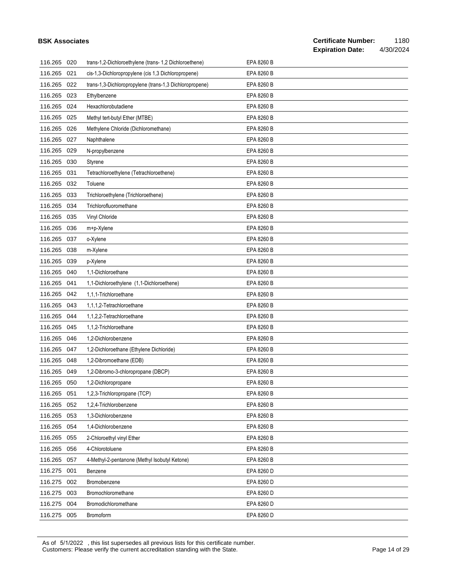|             | <b>BSK Associates</b> |                                                         |            | <b>Certificate Number:</b><br><b>Expiration Date:</b><br>4/30/2024 | 1180 |
|-------------|-----------------------|---------------------------------------------------------|------------|--------------------------------------------------------------------|------|
| 116.265 020 |                       | trans-1,2-Dichloroethylene (trans-1,2 Dichloroethene)   | EPA 8260 B |                                                                    |      |
| 116.265     | 021                   | cis-1,3-Dichloropropylene (cis 1,3 Dichloropropene)     | EPA 8260 B |                                                                    |      |
| 116.265     | 022                   | trans-1,3-Dichloropropylene (trans-1,3 Dichloropropene) | EPA 8260 B |                                                                    |      |
| 116.265     | 023                   | Ethylbenzene                                            | EPA 8260 B |                                                                    |      |
| 116.265     | 024                   | Hexachlorobutadiene                                     | EPA 8260 B |                                                                    |      |
| 116.265     | 025                   | Methyl tert-butyl Ether (MTBE)                          | EPA 8260 B |                                                                    |      |
| 116.265     | 026                   | Methylene Chloride (Dichloromethane)                    | EPA 8260 B |                                                                    |      |
| 116.265     | 027                   | Naphthalene                                             | EPA 8260 B |                                                                    |      |
| 116.265     | 029                   | N-propylbenzene                                         | EPA 8260 B |                                                                    |      |
| 116.265     | 030                   | Styrene                                                 | EPA 8260 B |                                                                    |      |
| 116.265     | 031                   | Tetrachloroethylene (Tetrachloroethene)                 | EPA 8260 B |                                                                    |      |
| 116.265     | 032                   | Toluene                                                 | EPA 8260 B |                                                                    |      |
| 116.265     | 033                   | Trichloroethylene (Trichloroethene)                     | EPA 8260 B |                                                                    |      |
| 116.265     | 034                   | Trichlorofluoromethane                                  | EPA 8260 B |                                                                    |      |
| 116.265     | 035                   | Vinyl Chloride                                          | EPA 8260 B |                                                                    |      |
| 116.265     | 036                   | m+p-Xylene                                              | EPA 8260 B |                                                                    |      |
| 116.265     | 037                   | o-Xylene                                                | EPA 8260 B |                                                                    |      |
| 116.265     | 038                   | m-Xylene                                                | EPA 8260 B |                                                                    |      |
| 116.265     | 039                   | p-Xylene                                                | EPA 8260 B |                                                                    |      |
| 116.265     | 040                   | 1,1-Dichloroethane                                      | EPA 8260 B |                                                                    |      |
| 116.265     | 041                   | 1,1-Dichloroethylene (1,1-Dichloroethene)               | EPA 8260 B |                                                                    |      |
| 116.265     | 042                   | 1,1,1-Trichloroethane                                   | EPA 8260 B |                                                                    |      |
| 116.265     | 043                   | 1,1,1,2-Tetrachloroethane                               | EPA 8260 B |                                                                    |      |
| 116.265     | 044                   | 1,1,2,2-Tetrachloroethane                               | EPA 8260 B |                                                                    |      |
| 116.265     | 045                   | 1,1,2-Trichloroethane                                   | EPA 8260 B |                                                                    |      |
| 116.265     | 046                   | 1,2-Dichlorobenzene                                     | EPA 8260 B |                                                                    |      |
| 116.265     | 047                   | 1,2-Dichloroethane (Ethylene Dichloride)                | EPA 8260 B |                                                                    |      |
| 116.265 048 |                       | 1,2-Dibromoethane (EDB)                                 | EPA 8260 B |                                                                    |      |
| 116.265 049 |                       | 1,2-Dibromo-3-chloropropane (DBCP)                      | EPA 8260 B |                                                                    |      |
| 116.265     | 050                   | 1,2-Dichloropropane                                     | EPA 8260 B |                                                                    |      |
| 116.265     | 051                   | 1,2,3-Trichloropropane (TCP)                            | EPA 8260 B |                                                                    |      |
| 116.265     | 052                   | 1,2,4-Trichlorobenzene                                  | EPA 8260 B |                                                                    |      |
| 116.265     | 053                   | 1,3-Dichlorobenzene                                     | EPA 8260 B |                                                                    |      |
| 116.265     | 054                   | 1,4-Dichlorobenzene                                     | EPA 8260 B |                                                                    |      |
| 116.265     | 055                   | 2-Chloroethyl vinyl Ether                               | EPA 8260 B |                                                                    |      |
| 116.265     | 056                   | 4-Chlorotoluene                                         | EPA 8260 B |                                                                    |      |
| 116.265     | 057                   | 4-Methyl-2-pentanone (Methyl Isobutyl Ketone)           | EPA 8260 B |                                                                    |      |
| 116.275     | 001                   | Benzene                                                 | EPA 8260 D |                                                                    |      |
| 116.275     | 002                   | Bromobenzene                                            | EPA 8260 D |                                                                    |      |
| 116.275     | 003                   | Bromochloromethane                                      | EPA 8260 D |                                                                    |      |
| 116.275     | 004                   | Bromodichloromethane                                    | EPA 8260 D |                                                                    |      |
| 116.275 005 |                       | Bromoform                                               | EPA 8260 D |                                                                    |      |

As of 5/1/2022 , this list supersedes all previous lists for this certificate number. Customers: Please verify the current accreditation standing with the State. Customers: Please 14 of 29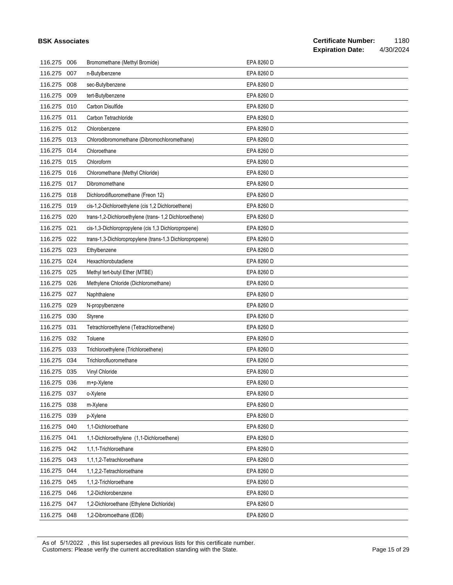|             | <b>BSK Associates</b> |                                                         |            | <b>Certificate Number:</b><br>1180<br><b>Expiration Date:</b><br>4/30/2024 |
|-------------|-----------------------|---------------------------------------------------------|------------|----------------------------------------------------------------------------|
| 116.275     | 006                   | Bromomethane (Methyl Bromide)                           | EPA 8260 D |                                                                            |
| 116.275     | 007                   | n-Butylbenzene                                          | EPA 8260 D |                                                                            |
| 116.275     | 008                   | sec-Butylbenzene                                        | EPA 8260 D |                                                                            |
| 116.275     | 009                   | tert-Butylbenzene                                       | EPA 8260 D |                                                                            |
| 116.275     | 010                   | Carbon Disulfide                                        | EPA 8260 D |                                                                            |
| 116.275     | 011                   | Carbon Tetrachloride                                    | EPA 8260 D |                                                                            |
| 116.275     | 012                   | Chlorobenzene                                           | EPA 8260 D |                                                                            |
| 116.275 013 |                       | Chlorodibromomethane (Dibromochloromethane)             | EPA 8260 D |                                                                            |
| 116.275     | 014                   | Chloroethane                                            | EPA 8260 D |                                                                            |
| 116.275     | 015                   | Chloroform                                              | EPA 8260 D |                                                                            |
| 116.275     | 016                   | Chloromethane (Methyl Chloride)                         | EPA 8260 D |                                                                            |
| 116.275 017 |                       | Dibromomethane                                          | EPA 8260 D |                                                                            |
| 116.275     | 018                   | Dichlorodifluoromethane (Freon 12)                      | EPA 8260 D |                                                                            |
| 116.275     | 019                   | cis-1,2-Dichloroethylene (cis 1,2 Dichloroethene)       | EPA 8260 D |                                                                            |
| 116.275     | 020                   | trans-1,2-Dichloroethylene (trans- 1,2 Dichloroethene)  | EPA 8260 D |                                                                            |
| 116.275     | 021                   | cis-1,3-Dichloropropylene (cis 1,3 Dichloropropene)     | EPA 8260 D |                                                                            |
| 116.275     | 022                   | trans-1,3-Dichloropropylene (trans-1,3 Dichloropropene) | EPA 8260 D |                                                                            |
| 116.275     | 023                   | Ethylbenzene                                            | EPA 8260 D |                                                                            |
| 116.275     | 024                   | Hexachlorobutadiene                                     | EPA 8260 D |                                                                            |
| 116.275     | 025                   | Methyl tert-butyl Ether (MTBE)                          | EPA 8260 D |                                                                            |
| 116.275     | 026                   | Methylene Chloride (Dichloromethane)                    | EPA 8260 D |                                                                            |
| 116.275     | 027                   | Naphthalene                                             | EPA 8260 D |                                                                            |
| 116.275     | 029                   | N-propylbenzene                                         | EPA 8260 D |                                                                            |
| 116.275     | 030                   | Styrene                                                 | EPA 8260 D |                                                                            |
| 116.275     | 031                   | Tetrachloroethylene (Tetrachloroethene)                 | EPA 8260 D |                                                                            |
| 116.275     | 032                   | Toluene                                                 | EPA 8260 D |                                                                            |
| 116.275     | 033                   | Trichloroethylene (Trichloroethene)                     | EPA 8260 D |                                                                            |
| 116.275 034 |                       | Trichlorofluoromethane                                  | EPA 8260 D |                                                                            |
| 116.275 035 |                       | Vinyl Chloride                                          | EPA 8260 D |                                                                            |
| 116.275     | 036                   | m+p-Xylene                                              | EPA 8260 D |                                                                            |
| 116.275     | 037                   | o-Xylene                                                | EPA 8260 D |                                                                            |
| 116.275     | 038                   | m-Xylene                                                | EPA 8260 D |                                                                            |
| 116.275     | 039                   | p-Xylene                                                | EPA 8260 D |                                                                            |
| 116.275     | 040                   | 1,1-Dichloroethane                                      | EPA 8260 D |                                                                            |
| 116.275     | 041                   | 1,1-Dichloroethylene (1,1-Dichloroethene)               | EPA 8260 D |                                                                            |
| 116.275     | 042                   | 1,1,1-Trichloroethane                                   | EPA 8260 D |                                                                            |
| 116.275     | 043                   | 1,1,1,2-Tetrachloroethane                               | EPA 8260 D |                                                                            |
| 116.275     | 044                   | 1,1,2,2-Tetrachloroethane                               | EPA 8260 D |                                                                            |
| 116.275     | 045                   | 1,1,2-Trichloroethane                                   | EPA 8260 D |                                                                            |
| 116.275     | 046                   | 1,2-Dichlorobenzene                                     | EPA 8260 D |                                                                            |
| 116.275 047 |                       | 1,2-Dichloroethane (Ethylene Dichloride)                | EPA 8260 D |                                                                            |
| 116.275 048 |                       | 1,2-Dibromoethane (EDB)                                 | EPA 8260 D |                                                                            |

As of 5/1/2022 , this list supersedes all previous lists for this certificate number. Customers: Please verify the current accreditation standing with the State. Customers: Please 15 of 29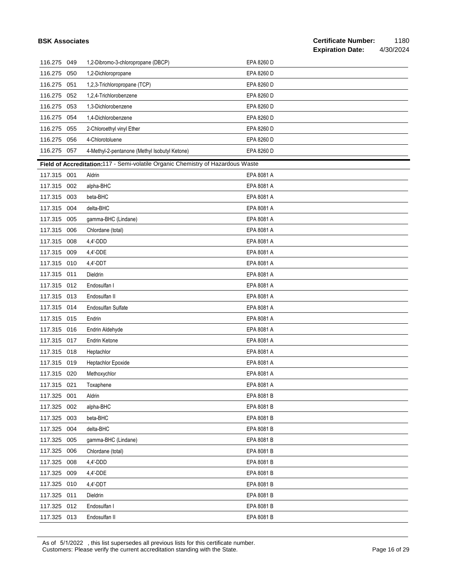| <b>BSK Associates</b> |     |                                                                                 |            | <b>Certificate Number:</b><br><b>Expiration Date:</b> | 1180<br>4/30/2024 |
|-----------------------|-----|---------------------------------------------------------------------------------|------------|-------------------------------------------------------|-------------------|
| 116.275 049           |     | 1,2-Dibromo-3-chloropropane (DBCP)                                              | EPA 8260 D |                                                       |                   |
| 116.275               | 050 | 1,2-Dichloropropane                                                             | EPA 8260 D |                                                       |                   |
| 116.275               | 051 | 1,2,3-Trichloropropane (TCP)                                                    | EPA 8260 D |                                                       |                   |
| 116.275               | 052 | 1,2,4-Trichlorobenzene                                                          | EPA 8260 D |                                                       |                   |
| 116.275               | 053 | 1,3-Dichlorobenzene                                                             | EPA 8260 D |                                                       |                   |
| 116.275               | 054 | 1,4-Dichlorobenzene                                                             | EPA 8260 D |                                                       |                   |
| 116.275               | 055 | 2-Chloroethyl vinyl Ether                                                       | EPA 8260 D |                                                       |                   |
| 116.275               | 056 | 4-Chlorotoluene                                                                 | EPA 8260 D |                                                       |                   |
| 116.275 057           |     | 4-Methyl-2-pentanone (Methyl Isobutyl Ketone)                                   | EPA 8260 D |                                                       |                   |
|                       |     | Field of Accreditation:117 - Semi-volatile Organic Chemistry of Hazardous Waste |            |                                                       |                   |
| 117.315 001           |     | Aldrin                                                                          | EPA 8081 A |                                                       |                   |
| 117.315 002           |     | alpha-BHC                                                                       | EPA 8081 A |                                                       |                   |
| 117.315               | 003 | beta-BHC                                                                        | EPA 8081 A |                                                       |                   |
| 117.315 004           |     | delta-BHC                                                                       | EPA 8081 A |                                                       |                   |
| 117.315               | 005 | gamma-BHC (Lindane)                                                             | EPA 8081 A |                                                       |                   |
| 117.315               | 006 | Chlordane (total)                                                               | EPA 8081 A |                                                       |                   |
| 117.315               | 008 | 4,4'-DDD                                                                        | EPA 8081 A |                                                       |                   |
| 117.315               | 009 | 4,4'-DDE                                                                        | EPA 8081 A |                                                       |                   |
| 117.315               | 010 | $4.4'$ -DDT                                                                     | EPA 8081 A |                                                       |                   |
| 117.315               | 011 | Dieldrin                                                                        | EPA 8081 A |                                                       |                   |
| 117.315               | 012 | Endosulfan I                                                                    | EPA 8081 A |                                                       |                   |
| 117.315 013           |     | Endosulfan II                                                                   | EPA 8081 A |                                                       |                   |
| 117.315 014           |     | Endosulfan Sulfate                                                              | EPA 8081 A |                                                       |                   |
| 117.315 015           |     | Endrin                                                                          | EPA 8081 A |                                                       |                   |
| 117.315               | 016 | Endrin Aldehyde                                                                 | EPA 8081 A |                                                       |                   |
| 117.315               | 017 | Endrin Ketone                                                                   | EPA 8081 A |                                                       |                   |
| 117.315               | 018 | Heptachlor                                                                      | EPA 8081 A |                                                       |                   |
| 117.315 019           |     | Heptachlor Epoxide                                                              | EPA 8081 A |                                                       |                   |
| 117.315 020           |     | Methoxychlor                                                                    | EPA 8081 A |                                                       |                   |
| 117.315 021           |     | Toxaphene                                                                       | EPA 8081 A |                                                       |                   |
| 117.325 001           |     | Aldrin                                                                          | EPA 8081 B |                                                       |                   |
| 117.325 002           |     | alpha-BHC                                                                       | EPA 8081 B |                                                       |                   |
| 117.325               | 003 | beta-BHC                                                                        | EPA 8081 B |                                                       |                   |
| 117.325 004           |     | delta-BHC                                                                       | EPA 8081 B |                                                       |                   |
| 117.325               | 005 | gamma-BHC (Lindane)                                                             | EPA 8081 B |                                                       |                   |
| 117.325 006           |     | Chlordane (total)                                                               | EPA 8081 B |                                                       |                   |
| 117.325               | 008 | 4,4'-DDD                                                                        | EPA 8081 B |                                                       |                   |
| 117.325 009           |     | 4,4'-DDE                                                                        | EPA 8081 B |                                                       |                   |
| 117.325               | 010 | 4,4'-DDT                                                                        | EPA 8081 B |                                                       |                   |
| 117.325               | 011 | Dieldrin                                                                        | EPA 8081 B |                                                       |                   |
| 117.325               | 012 | Endosulfan I                                                                    | EPA 8081 B |                                                       |                   |
| 117.325 013           |     | Endosulfan II                                                                   | EPA 8081 B |                                                       |                   |

As of 5/1/2022 , this list supersedes all previous lists for this certificate number. Customers: Please verify the current accreditation standing with the State. Customers: Please 16 of 29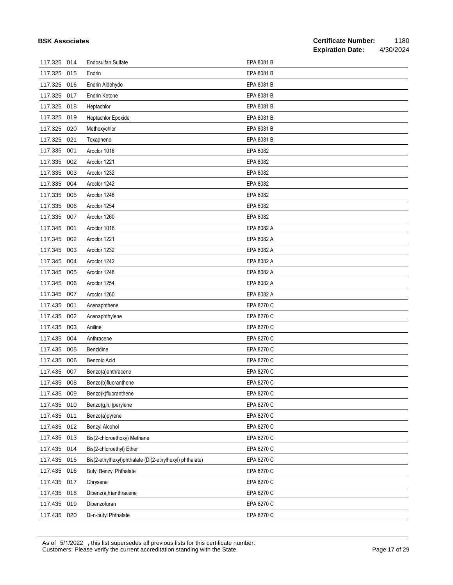|             |     |                                                         |            | <b>Expiration Date:</b> | 4/30/2024 |
|-------------|-----|---------------------------------------------------------|------------|-------------------------|-----------|
| 117.325     | 014 | <b>Endosulfan Sulfate</b>                               | EPA 8081 B |                         |           |
| 117.325     | 015 | Endrin                                                  | EPA 8081 B |                         |           |
| 117.325     | 016 | Endrin Aldehyde                                         | EPA 8081 B |                         |           |
| 117.325     | 017 | Endrin Ketone                                           | EPA 8081 B |                         |           |
| 117.325     | 018 | Heptachlor                                              | EPA 8081 B |                         |           |
| 117.325     | 019 | Heptachlor Epoxide                                      | EPA 8081 B |                         |           |
| 117.325     | 020 | Methoxychlor                                            | EPA 8081 B |                         |           |
| 117.325     | 021 | Toxaphene                                               | EPA 8081 B |                         |           |
| 117.335     | 001 | Aroclor 1016                                            | EPA 8082   |                         |           |
| 117.335     | 002 | Aroclor 1221                                            | EPA 8082   |                         |           |
| 117.335     | 003 | Aroclor 1232                                            | EPA 8082   |                         |           |
| 117.335     | 004 | Aroclor 1242                                            | EPA 8082   |                         |           |
| 117.335     | 005 | Aroclor 1248                                            | EPA 8082   |                         |           |
| 117.335     | 006 | Aroclor 1254                                            | EPA 8082   |                         |           |
| 117.335     | 007 | Aroclor 1260                                            | EPA 8082   |                         |           |
| 117.345     | 001 | Aroclor 1016                                            | EPA 8082 A |                         |           |
| 117.345     | 002 | Aroclor 1221                                            | EPA 8082 A |                         |           |
| 117.345     | 003 | Aroclor 1232                                            | EPA 8082 A |                         |           |
| 117.345     | 004 | Aroclor 1242                                            | EPA 8082 A |                         |           |
| 117.345     | 005 | Aroclor 1248                                            | EPA 8082 A |                         |           |
| 117.345     | 006 | Aroclor 1254                                            | EPA 8082 A |                         |           |
| 117.345     | 007 | Aroclor 1260                                            | EPA 8082 A |                         |           |
| 117.435     | 001 | Acenaphthene                                            | EPA 8270 C |                         |           |
| 117.435     | 002 | Acenaphthylene                                          | EPA 8270 C |                         |           |
| 117.435     | 003 | Aniline                                                 | EPA 8270 C |                         |           |
| 117.435     | 004 | Anthracene                                              | EPA 8270 C |                         |           |
| 117.435     | 005 | Benzidine                                               | EPA 8270 C |                         |           |
| 117.435     | 006 | Benzoic Acid                                            | EPA 8270 C |                         |           |
| 117.435     | 007 | Benzo(a)anthracene                                      | EPA 8270 C |                         |           |
| 117.435 008 |     | Benzo(b)fluoranthene                                    | EPA 8270 C |                         |           |
| 117.435     | 009 | Benzo(k)fluoranthene                                    | EPA 8270 C |                         |           |
| 117.435     | 010 | Benzo(g,h,i)perylene                                    | EPA 8270 C |                         |           |
| 117.435     | 011 | Benzo(a)pyrene                                          | EPA 8270 C |                         |           |
| 117.435     | 012 | Benzyl Alcohol                                          | EPA 8270 C |                         |           |
| 117.435     | 013 | Bis(2-chloroethoxy) Methane                             | EPA 8270 C |                         |           |
| 117.435     | 014 | Bis(2-chloroethyl) Ether                                | EPA 8270 C |                         |           |
| 117.435     | 015 | Bis(2-ethylhexyl)phthalate (Di(2-ethylhexyl) phthalate) | EPA 8270 C |                         |           |
| 117.435     | 016 | <b>Butyl Benzyl Phthalate</b>                           | EPA 8270 C |                         |           |
| 117.435     | 017 | Chrysene                                                | EPA 8270 C |                         |           |
| 117.435     | 018 | Dibenz(a,h)anthracene                                   | EPA 8270 C |                         |           |
| 117.435     | 019 | Dibenzofuran                                            | EPA 8270 C |                         |           |
| 117.435 020 |     | Di-n-butyl Phthalate                                    | EPA 8270 C |                         |           |

As of 5/1/2022 , this list supersedes all previous lists for this certificate number. Customers: Please verify the current accreditation standing with the State. Current content of 29 Page 17 of 29

**BSK Associates**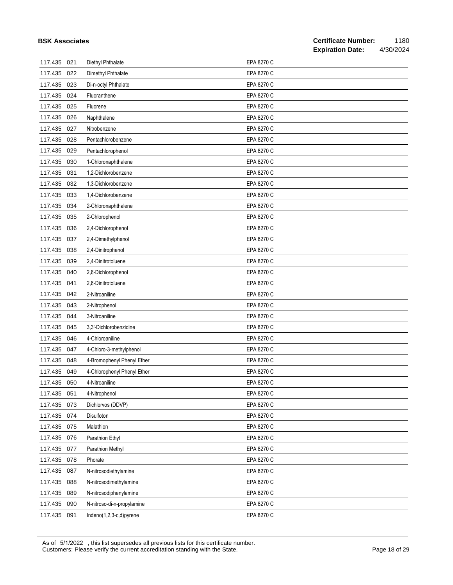|             |     |                             |            | <b>Expiration Date:</b> | 4/30/2024 |
|-------------|-----|-----------------------------|------------|-------------------------|-----------|
| 117.435     | 021 | Diethyl Phthalate           | EPA 8270 C |                         |           |
| 117.435     | 022 | Dimethyl Phthalate          | EPA 8270 C |                         |           |
| 117.435     | 023 | Di-n-octyl Phthalate        | EPA 8270 C |                         |           |
| 117.435     | 024 | Fluoranthene                | EPA 8270 C |                         |           |
| 117.435     | 025 | Fluorene                    | EPA 8270 C |                         |           |
| 117.435     | 026 | Naphthalene                 | EPA 8270 C |                         |           |
| 117.435     | 027 | Nitrobenzene                | EPA 8270 C |                         |           |
| 117.435     | 028 | Pentachlorobenzene          | EPA 8270 C |                         |           |
| 117.435     | 029 | Pentachlorophenol           | EPA 8270 C |                         |           |
| 117.435     | 030 | 1-Chloronaphthalene         | EPA 8270 C |                         |           |
| 117.435     | 031 | 1,2-Dichlorobenzene         | EPA 8270 C |                         |           |
| 117.435     | 032 | 1,3-Dichlorobenzene         | EPA 8270 C |                         |           |
| 117.435     | 033 | 1,4-Dichlorobenzene         | EPA 8270 C |                         |           |
| 117.435     | 034 | 2-Chloronaphthalene         | EPA 8270 C |                         |           |
| 117.435     | 035 | 2-Chlorophenol              | EPA 8270 C |                         |           |
| 117.435     | 036 | 2,4-Dichlorophenol          | EPA 8270 C |                         |           |
| 117.435     | 037 | 2,4-Dimethylphenol          | EPA 8270 C |                         |           |
| 117.435     | 038 | 2,4-Dinitrophenol           | EPA 8270 C |                         |           |
| 117.435     | 039 | 2,4-Dinitrotoluene          | EPA 8270 C |                         |           |
| 117.435     | 040 | 2,6-Dichlorophenol          | EPA 8270 C |                         |           |
| 117.435     | 041 | 2,6-Dinitrotoluene          | EPA 8270 C |                         |           |
| 117.435     | 042 | 2-Nitroaniline              | EPA 8270 C |                         |           |
| 117.435     | 043 | 2-Nitrophenol               | EPA 8270 C |                         |           |
| 117.435     | 044 | 3-Nitroaniline              | EPA 8270 C |                         |           |
| 117.435     | 045 | 3,3'-Dichlorobenzidine      | EPA 8270 C |                         |           |
| 117.435     | 046 | 4-Chloroaniline             | EPA 8270 C |                         |           |
| 117.435     | 047 | 4-Chloro-3-methylphenol     | EPA 8270 C |                         |           |
| 117.435     | 048 | 4-Bromophenyl Phenyl Ether  | EPA 8270 C |                         |           |
| 117.435     | 049 | 4-Chlorophenyl Phenyl Ether | EPA 8270 C |                         |           |
| 117.435     | 050 | 4-Nitroaniline              | EPA 8270 C |                         |           |
| 117.435     | 051 | 4-Nitrophenol               | EPA 8270 C |                         |           |
| 117.435     | 073 | Dichlorvos (DDVP)           | EPA 8270 C |                         |           |
| 117.435     | 074 | Disulfoton                  | EPA 8270 C |                         |           |
| 117.435     | 075 | Malathion                   | EPA 8270 C |                         |           |
| 117.435     | 076 | Parathion Ethyl             | EPA 8270 C |                         |           |
| 117.435     | 077 | Parathion Methyl            | EPA 8270 C |                         |           |
| 117.435 078 |     | Phorate                     | EPA 8270 C |                         |           |
| 117.435     | 087 | N-nitrosodiethylamine       | EPA 8270 C |                         |           |
| 117.435     | 088 | N-nitrosodimethylamine      | EPA 8270 C |                         |           |
| 117.435     | 089 | N-nitrosodiphenylamine      | EPA 8270 C |                         |           |
| 117.435     | 090 | N-nitroso-di-n-propylamine  | EPA 8270 C |                         |           |
| 117.435 091 |     | Indeno(1,2,3-c,d)pyrene     | EPA 8270 C |                         |           |

As of 5/1/2022 , this list supersedes all previous lists for this certificate number. Customers: Please verify the current accreditation standing with the State. Customers: Please 18 of 29

**BSK Associates**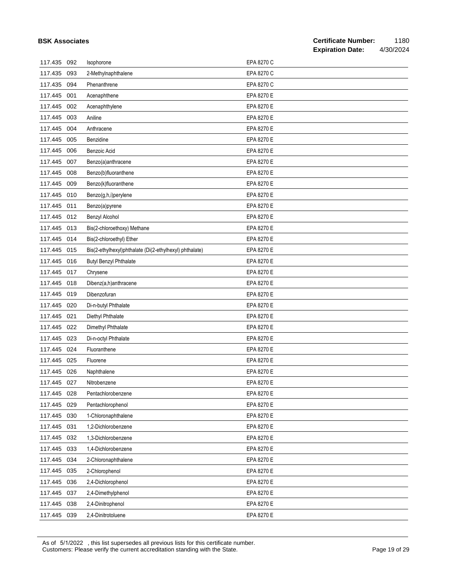|             |     |                                                         |            | <b>Expiration Date:</b> | 4/30/2024 |
|-------------|-----|---------------------------------------------------------|------------|-------------------------|-----------|
| 117.435     | 092 | Isophorone                                              | EPA 8270 C |                         |           |
| 117.435     | 093 | 2-Methylnaphthalene                                     | EPA 8270 C |                         |           |
| 117.435     | 094 | Phenanthrene                                            | EPA 8270 C |                         |           |
| 117.445     | 001 | Acenaphthene                                            | EPA 8270 E |                         |           |
| 117.445     | 002 | Acenaphthylene                                          | EPA 8270 E |                         |           |
| 117.445     | 003 | Aniline                                                 | EPA 8270 E |                         |           |
| 117.445     | 004 | Anthracene                                              | EPA 8270 E |                         |           |
| 117.445     | 005 | Benzidine                                               | EPA 8270 E |                         |           |
| 117.445     | 006 | Benzoic Acid                                            | EPA 8270 E |                         |           |
| 117.445     | 007 | Benzo(a)anthracene                                      | EPA 8270 E |                         |           |
| 117.445     | 008 | Benzo(b)fluoranthene                                    | EPA 8270 E |                         |           |
| 117.445     | 009 | Benzo(k)fluoranthene                                    | EPA 8270 E |                         |           |
| 117.445     | 010 | Benzo(g,h,i)perylene                                    | EPA 8270 E |                         |           |
| 117.445     | 011 | Benzo(a)pyrene                                          | EPA 8270 E |                         |           |
| 117.445     | 012 | <b>Benzyl Alcohol</b>                                   | EPA 8270 E |                         |           |
| 117.445 013 |     | Bis(2-chloroethoxy) Methane                             | EPA 8270 E |                         |           |
| 117.445     | 014 | Bis(2-chloroethyl) Ether                                | EPA 8270 E |                         |           |
| 117.445     | 015 | Bis(2-ethylhexyl)phthalate (Di(2-ethylhexyl) phthalate) | EPA 8270 E |                         |           |
| 117.445     | 016 | <b>Butyl Benzyl Phthalate</b>                           | EPA 8270 E |                         |           |
| 117.445     | 017 | Chrysene                                                | EPA 8270 E |                         |           |
| 117.445     | 018 | Dibenz(a,h)anthracene                                   | EPA 8270 E |                         |           |
| 117.445     | 019 | Dibenzofuran                                            | EPA 8270 E |                         |           |
| 117.445     | 020 | Di-n-butyl Phthalate                                    | EPA 8270 E |                         |           |
| 117.445     | 021 | Diethyl Phthalate                                       | EPA 8270 E |                         |           |
| 117.445     | 022 | Dimethyl Phthalate                                      | EPA 8270 E |                         |           |
| 117.445     | 023 | Di-n-octyl Phthalate                                    | EPA 8270 E |                         |           |
| 117.445     | 024 | Fluoranthene                                            | EPA 8270 E |                         |           |
| 117.445 025 |     | Fluorene                                                | EPA 8270 E |                         |           |
| 117.445 026 |     | Naphthalene                                             | EPA 8270 E |                         |           |
| 117.445 027 |     | Nitrobenzene                                            | EPA 8270 E |                         |           |
| 117.445     | 028 | Pentachlorobenzene                                      | EPA 8270 E |                         |           |
| 117.445     | 029 | Pentachlorophenol                                       | EPA 8270 E |                         |           |
| 117.445     | 030 | 1-Chloronaphthalene                                     | EPA 8270 E |                         |           |
| 117.445     | 031 | 1,2-Dichlorobenzene                                     | EPA 8270 E |                         |           |
| 117.445     | 032 | 1,3-Dichlorobenzene                                     | EPA 8270 E |                         |           |
| 117.445     | 033 | 1,4-Dichlorobenzene                                     | EPA 8270 E |                         |           |
| 117.445     | 034 | 2-Chloronaphthalene                                     | EPA 8270 E |                         |           |
| 117.445     | 035 | 2-Chlorophenol                                          | EPA 8270 E |                         |           |
| 117.445     | 036 | 2,4-Dichlorophenol                                      | EPA 8270 E |                         |           |
| 117.445     | 037 | 2,4-Dimethylphenol                                      | EPA 8270 E |                         |           |
| 117.445     | 038 | 2,4-Dinitrophenol                                       | EPA 8270 E |                         |           |
| 117.445 039 |     | 2,4-Dinitrotoluene                                      | EPA 8270 E |                         |           |

As of 5/1/2022 , this list supersedes all previous lists for this certificate number.

**BSK Associates**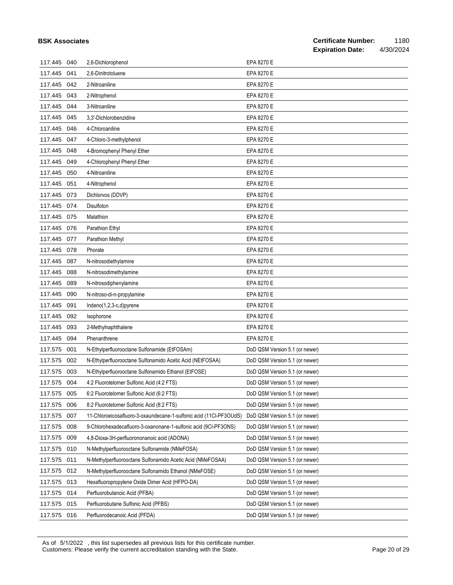|         |     |                                                                    | <b>Expiration Date:</b><br>4/30/2024 |
|---------|-----|--------------------------------------------------------------------|--------------------------------------|
| 117.445 | 040 | 2,6-Dichlorophenol                                                 | EPA 8270 E                           |
| 117.445 | 041 | 2,6-Dinitrotoluene                                                 | EPA 8270 E                           |
| 117.445 | 042 | 2-Nitroaniline                                                     | EPA 8270 E                           |
| 117.445 | 043 | 2-Nitrophenol                                                      | EPA 8270 E                           |
| 117.445 | 044 | 3-Nitroaniline                                                     | EPA 8270 E                           |
| 117.445 | 045 | 3,3'-Dichlorobenzidine                                             | EPA 8270 E                           |
| 117.445 | 046 | 4-Chloroaniline                                                    | EPA 8270 E                           |
| 117.445 | 047 | 4-Chloro-3-methylphenol                                            | EPA 8270 E                           |
| 117.445 | 048 | 4-Bromophenyl Phenyl Ether                                         | EPA 8270 E                           |
| 117.445 | 049 | 4-Chlorophenyl Phenyl Ether                                        | EPA 8270 E                           |
| 117.445 | 050 | 4-Nitroaniline                                                     | EPA 8270 E                           |
| 117.445 | 051 | 4-Nitrophenol                                                      | EPA 8270 E                           |
| 117.445 | 073 | Dichlorvos (DDVP)                                                  | EPA 8270 E                           |
| 117.445 | 074 | Disulfoton                                                         | EPA 8270 E                           |
| 117.445 | 075 | Malathion                                                          | EPA 8270 E                           |
| 117.445 | 076 | Parathion Ethyl                                                    | EPA 8270 E                           |
| 117.445 | 077 | Parathion Methyl                                                   | EPA 8270 E                           |
| 117.445 | 078 | Phorate                                                            | EPA 8270 E                           |
| 117.445 | 087 | N-nitrosodiethylamine                                              | EPA 8270 E                           |
| 117.445 | 088 | N-nitrosodimethylamine                                             | EPA 8270 E                           |
| 117.445 | 089 | N-nitrosodiphenylamine                                             | EPA 8270 E                           |
| 117.445 | 090 | N-nitroso-di-n-propylamine                                         | EPA 8270 E                           |
| 117.445 | 091 | Indeno(1,2,3-c,d)pyrene                                            | EPA 8270 E                           |
| 117.445 | 092 | Isophorone                                                         | EPA 8270 E                           |
| 117.445 | 093 | 2-Methylnaphthalene                                                | EPA 8270 E                           |
| 117.445 | 094 | Phenanthrene                                                       | EPA 8270 E                           |
| 117.575 | 001 | N-Ethylperfluorooctane Sulfonamide (EtFOSAm)                       | DoD QSM Version 5.1 (or newer)       |
| 117.575 | 002 | N-Ethylperfluorooctane Sulfonamido Acetic Acid (NEtFOSAA)          | DoD QSM Version 5.1 (or newer)       |
| 117.575 | 003 | N-Ethylperfluorooctane Sulfonamido Ethanol (EtFOSE)                | DoD QSM Version 5.1 (or newer)       |
| 117.575 | 004 | 4:2 Fluorotelomer Sulfonic Acid (4:2 FTS)                          | DoD QSM Version 5.1 (or newer)       |
| 117.575 | 005 | 6:2 Fluorotelomer Sulfonic Acid (6:2 FTS)                          | DoD QSM Version 5.1 (or newer)       |
| 117.575 | 006 | 8:2 Fluorotelomer Sulfonic Acid (8:2 FTS)                          | DoD QSM Version 5.1 (or newer)       |
| 117.575 | 007 | 11-Chloroeicosafluoro-3-oxaundecane-1-sulfonic acid (11Cl-PF3OUdS) | DoD QSM Version 5.1 (or newer)       |
| 117.575 | 008 | 9-Chlorohexadecafluoro-3-oxanonane-1-sulfonic acid (9CI-PF3ONS)    | DoD QSM Version 5.1 (or newer)       |
| 117.575 | 009 | 4,8-Dioxa-3H-perfluorononanoic acid (ADONA)                        | DoD QSM Version 5.1 (or newer)       |
| 117.575 | 010 | N-Methylperfluorooctane Sulfonamide (NMeFOSA)                      | DoD QSM Version 5.1 (or newer)       |
| 117.575 | 011 | N-Methylperfluorooctane Sulfonamido Acetic Acid (NMeFOSAA)         | DoD QSM Version 5.1 (or newer)       |
| 117.575 | 012 | N-Methylperfluorooctane Sulfonamido Ethanol (NMeFOSE)              | DoD QSM Version 5.1 (or newer)       |
| 117.575 | 013 | Hexafluoropropylene Oxide Dimer Acid (HFPO-DA)                     | DoD QSM Version 5.1 (or newer)       |
| 117.575 | 014 | Perfluorobutanoic Acid (PFBA)                                      | DoD QSM Version 5.1 (or newer)       |
| 117.575 | 015 | Perfluorobutane Sulfonic Acid (PFBS)                               | DoD QSM Version 5.1 (or newer)       |
| 117.575 | 016 | Perfluorodecanoic Acid (PFDA)                                      | DoD QSM Version 5.1 (or newer)       |

As of 5/1/2022 , this list supersedes all previous lists for this certificate number. Customers: Please verify the current accreditation standing with the State. Current content of 29 of 29 of 29 of 29 of 29 of 29 of 29 of 29 of 29 of 29 of 29 of 29 of 29 of 29 of 29 of 29 of 29 of 29 of 29 of 29 of 29 of 2

**BSK Associates**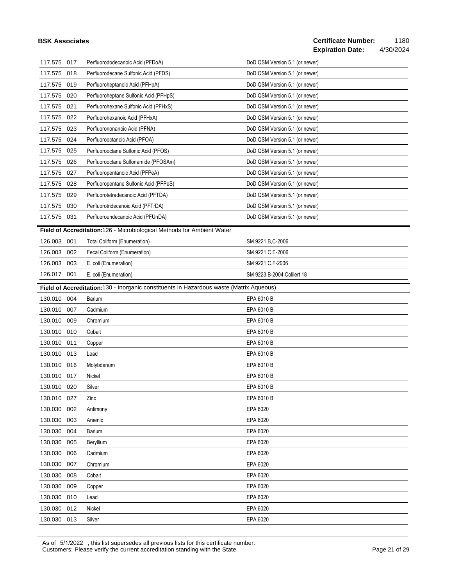#### **BSK Associates**

| 117.575     | 017 | Perfluorododecanoic Acid (PFDoA)                                                        | DoD QSM Version 5.1 (or newer) |
|-------------|-----|-----------------------------------------------------------------------------------------|--------------------------------|
| 117.575     | 018 | Perfluorodecane Sulfonic Acid (PFDS)                                                    | DoD QSM Version 5.1 (or newer) |
| 117.575     | 019 | Perfluoroheptanoic Acid (PFHpA)                                                         | DoD QSM Version 5.1 (or newer) |
| 117.575     | 020 | Perfluoroheptane Sulfonic Acid (PFHpS)                                                  | DoD QSM Version 5.1 (or newer) |
| 117.575     | 021 | Perfluorohexane Sulfonic Acid (PFHxS)                                                   | DoD QSM Version 5.1 (or newer) |
| 117.575     | 022 | Perfluorohexanoic Acid (PFHxA)                                                          | DoD QSM Version 5.1 (or newer) |
| 117.575     | 023 | Perfluorononanoic Acid (PFNA)                                                           | DoD QSM Version 5.1 (or newer) |
| 117.575     | 024 | Perfluorooctanoic Acid (PFOA)                                                           | DoD QSM Version 5.1 (or newer) |
| 117.575     | 025 | Perfluorooctane Sulfonic Acid (PFOS)                                                    | DoD QSM Version 5.1 (or newer) |
| 117.575     | 026 | Perfluorooctane Sulfonamide (PFOSAm)                                                    | DoD QSM Version 5.1 (or newer) |
| 117.575     | 027 | Perfluoropentanoic Acid (PFPeA)                                                         | DoD QSM Version 5.1 (or newer) |
| 117.575     | 028 | Perfluoropentane Sulfonic Acid (PFPeS)                                                  | DoD QSM Version 5.1 (or newer) |
| 117.575     | 029 | Perfluorotetradecanoic Acid (PFTDA)                                                     | DoD QSM Version 5.1 (or newer) |
| 117.575     | 030 | Perfluorotridecanoic Acid (PFTrDA)                                                      | DoD QSM Version 5.1 (or newer) |
| 117.575     | 031 | Perfluoroundecanoic Acid (PFUnDA)                                                       | DoD QSM Version 5.1 (or newer) |
|             |     | Field of Accreditation:126 - Microbiological Methods for Ambient Water                  |                                |
| 126.003     | 001 | <b>Total Coliform (Enumeration)</b>                                                     | SM 9221 B, C-2006              |
| 126.003     | 002 | Fecal Coliform (Enumeration)                                                            | SM 9221 C,E-2006               |
| 126.003     | 003 | E. coli (Enumeration)                                                                   | SM 9221 C,F-2006               |
| 126.017     | 001 | E. coli (Enumeration)                                                                   | SM 9223 B-2004 Collert 18      |
|             |     | Field of Accreditation:130 - Inorganic constituents in Hazardous waste (Matrix Aqueous) |                                |
| 130.010 004 |     | Barium                                                                                  | EPA 6010 B                     |
| 130.010     | 007 | Cadmium                                                                                 | EPA 6010 B                     |
| 130.010     | 009 | Chromium                                                                                | EPA 6010 B                     |
| 130.010     | 010 | Cobalt                                                                                  | EPA 6010 B                     |
| 130.010     | 011 | Copper                                                                                  | EPA 6010 B                     |
| 130.010     | 013 | Lead                                                                                    | EPA 6010 B                     |
| 130.010     | 016 | Molybdenum                                                                              | EPA 6010 B                     |
| 130.010     | 017 | Nickel                                                                                  | EPA 6010 B                     |
| 130.010 020 |     | Silver                                                                                  | EPA 6010 B                     |
| 130.010 027 |     | Zinc                                                                                    | EPA 6010 B                     |
| 130.030     | 002 | Antimony                                                                                | EPA 6020                       |
| 130.030     | 003 | Arsenic                                                                                 | EPA 6020                       |
| 130.030     | 004 | Barium                                                                                  | EPA 6020                       |
| 130.030     | 005 | Beryllium                                                                               | EPA 6020                       |
| 130.030     | 006 | Cadmium                                                                                 | EPA 6020                       |
| 130.030     | 007 | Chromium                                                                                | EPA 6020                       |
| 130.030     | 008 | Cobalt                                                                                  | EPA 6020                       |
| 130.030     | 009 | Copper                                                                                  | EPA 6020                       |
| 130.030     | 010 | Lead                                                                                    | EPA 6020                       |
| 130.030     | 012 | Nickel                                                                                  | EPA 6020                       |
| 130.030 013 |     | Silver                                                                                  | EPA 6020                       |

As of 5/1/2022 , this list supersedes all previous lists for this certificate number. Customers: Please verify the current accreditation standing with the State. Current content of 29 of 29 of 29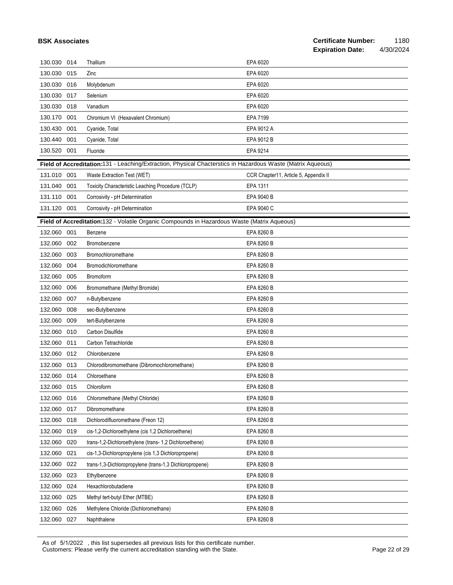#### **Certificate Number:** 1180<br>**Expiration Date:** 4/30/2024 **Expiration Date:**

130.030 014 Thallium EPA 6020 130.030 015 Zinc EPA 6020

| 130.030     | 016 | Molybdenum                                                                                                  | EPA 6020                              |
|-------------|-----|-------------------------------------------------------------------------------------------------------------|---------------------------------------|
| 130.030     | 017 | Selenium                                                                                                    | EPA 6020                              |
| 130.030     | 018 | Vanadium                                                                                                    | EPA 6020                              |
| 130.170     | 001 | Chromium VI (Hexavalent Chromium)                                                                           | EPA 7199                              |
| 130.430     | 001 | Cyanide, Total                                                                                              | EPA 9012 A                            |
| 130.440     | 001 | Cyanide, Total                                                                                              | EPA 9012 B                            |
| 130.520     | 001 | Fluoride                                                                                                    | EPA 9214                              |
|             |     | Field of Accreditation:131 - Leaching/Extraction, Physical Chacterstics in Hazardous Waste (Matrix Aqueous) |                                       |
| 131.010 001 |     | Waste Extraction Test (WET)                                                                                 | CCR Chapter11, Article 5, Appendix II |
| 131.040     | 001 | Toxicity Characteristic Leaching Procedure (TCLP)                                                           | EPA 1311                              |
| 131.110     | 001 | Corrosivity - pH Determination                                                                              | EPA 9040 B                            |
| 131.120     | 001 | Corrosivity - pH Determination                                                                              | EPA 9040 C                            |
|             |     | Field of Accreditation:132 - Volatile Organic Compounds in Hazardous Waste (Matrix Aqueous)                 |                                       |
| 132.060     | 001 | Benzene                                                                                                     | EPA 8260 B                            |
| 132.060     | 002 | Bromobenzene                                                                                                | EPA 8260 B                            |
| 132.060     | 003 | Bromochloromethane                                                                                          | EPA 8260 B                            |
| 132.060     | 004 | Bromodichloromethane                                                                                        | EPA 8260 B                            |
| 132.060     | 005 | Bromoform                                                                                                   | EPA 8260 B                            |
| 132.060     | 006 | Bromomethane (Methyl Bromide)                                                                               | EPA 8260 B                            |
| 132.060     | 007 | n-Butylbenzene                                                                                              | EPA 8260 B                            |
| 132.060     | 008 | sec-Butylbenzene                                                                                            | EPA 8260 B                            |
| 132.060     | 009 | tert-Butylbenzene                                                                                           | EPA 8260 B                            |
| 132.060     | 010 | Carbon Disulfide                                                                                            | EPA 8260 B                            |
| 132.060     | 011 | Carbon Tetrachloride                                                                                        | EPA 8260 B                            |
| 132.060     | 012 | Chlorobenzene                                                                                               | EPA 8260 B                            |
| 132.060     | 013 | Chlorodibromomethane (Dibromochloromethane)                                                                 | EPA 8260 B                            |
| 132.060     | 014 | Chloroethane                                                                                                | EPA 8260 B                            |
| 132.060     | 015 | Chloroform                                                                                                  | EPA 8260 B                            |
| 132.060     | 016 | Chloromethane (Methyl Chloride)                                                                             | EPA 8260 B                            |
| 132.060 017 |     | Dibromomethane                                                                                              | EPA 8260 B                            |
| 132.060     | 018 | Dichlorodifluoromethane (Freon 12)                                                                          | EPA 8260 B                            |
| 132.060     | 019 | cis-1,2-Dichloroethylene (cis 1,2 Dichloroethene)                                                           | EPA 8260 B                            |
| 132.060     | 020 | trans-1,2-Dichloroethylene (trans-1,2 Dichloroethene)                                                       | EPA 8260 B                            |
| 132.060     | 021 | cis-1,3-Dichloropropylene (cis 1,3 Dichloropropene)                                                         | EPA 8260 B                            |
| 132.060     | 022 | trans-1,3-Dichloropropylene (trans-1,3 Dichloropropene)                                                     | EPA 8260 B                            |
| 132.060     | 023 | Ethylbenzene                                                                                                | EPA 8260 B                            |
| 132.060     | 024 | Hexachlorobutadiene                                                                                         | EPA 8260 B                            |
| 132.060     | 025 | Methyl tert-butyl Ether (MTBE)                                                                              | EPA 8260 B                            |
| 132.060     | 026 | Methylene Chloride (Dichloromethane)                                                                        | EPA 8260 B                            |
| 132.060     | 027 | Naphthalene                                                                                                 | EPA 8260 B                            |
|             |     |                                                                                                             |                                       |

As of 5/1/2022 , this list supersedes all previous lists for this certificate number. Customers: Please verify the current accreditation standing with the State. Page 22 of 29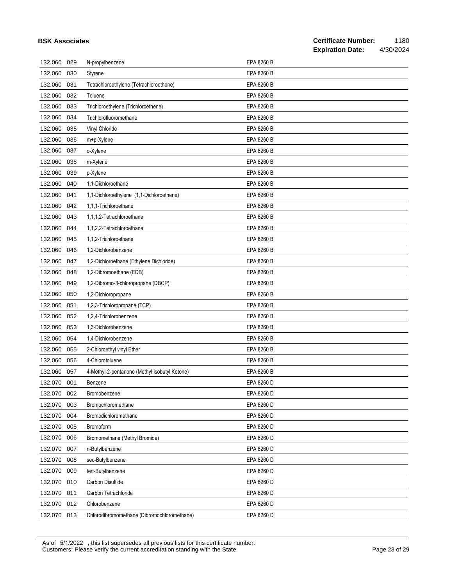|         |     |                                               |            | <b>Expiration Date:</b> | 4/30/2024 |
|---------|-----|-----------------------------------------------|------------|-------------------------|-----------|
| 132.060 | 029 | N-propylbenzene                               | EPA 8260 B |                         |           |
| 132.060 | 030 | Styrene                                       | EPA 8260 B |                         |           |
| 132.060 | 031 | Tetrachloroethylene (Tetrachloroethene)       | EPA 8260 B |                         |           |
| 132.060 | 032 | Toluene                                       | EPA 8260 B |                         |           |
| 132.060 | 033 | Trichloroethylene (Trichloroethene)           | EPA 8260 B |                         |           |
| 132.060 | 034 | Trichlorofluoromethane                        | EPA 8260 B |                         |           |
| 132.060 | 035 | Vinyl Chloride                                | EPA 8260 B |                         |           |
| 132.060 | 036 | m+p-Xylene                                    | EPA 8260 B |                         |           |
| 132.060 | 037 | o-Xylene                                      | EPA 8260 B |                         |           |
| 132.060 | 038 | m-Xylene                                      | EPA 8260 B |                         |           |
| 132.060 | 039 | p-Xylene                                      | EPA 8260 B |                         |           |
| 132.060 | 040 | 1,1-Dichloroethane                            | EPA 8260 B |                         |           |
| 132.060 | 041 | 1,1-Dichloroethylene (1,1-Dichloroethene)     | EPA 8260 B |                         |           |
| 132.060 | 042 | 1,1,1-Trichloroethane                         | EPA 8260 B |                         |           |
| 132.060 | 043 | 1,1,1,2-Tetrachloroethane                     | EPA 8260 B |                         |           |
| 132.060 | 044 | 1.1.2.2-Tetrachloroethane                     | EPA 8260 B |                         |           |
| 132.060 | 045 | 1,1,2-Trichloroethane                         | EPA 8260 B |                         |           |
| 132.060 | 046 | 1,2-Dichlorobenzene                           | EPA 8260 B |                         |           |
| 132.060 | 047 | 1,2-Dichloroethane (Ethylene Dichloride)      | EPA 8260 B |                         |           |
| 132.060 | 048 | 1,2-Dibromoethane (EDB)                       | EPA 8260 B |                         |           |
| 132.060 | 049 | 1,2-Dibromo-3-chloropropane (DBCP)            | EPA 8260 B |                         |           |
| 132.060 | 050 | 1,2-Dichloropropane                           | EPA 8260 B |                         |           |
| 132.060 | 051 | 1,2,3-Trichloropropane (TCP)                  | EPA 8260 B |                         |           |
| 132.060 | 052 | 1,2,4-Trichlorobenzene                        | EPA 8260 B |                         |           |
| 132.060 | 053 | 1,3-Dichlorobenzene                           | EPA 8260 B |                         |           |
| 132.060 | 054 | 1,4-Dichlorobenzene                           | EPA 8260 B |                         |           |
| 132.060 | 055 | 2-Chloroethyl vinyl Ether                     | EPA 8260 B |                         |           |
| 132.060 | 056 | 4-Chlorotoluene                               | EPA 8260 B |                         |           |
| 132.060 | 057 | 4-Methyl-2-pentanone (Methyl Isobutyl Ketone) | EPA 8260 B |                         |           |
| 132.070 | 001 | Benzene                                       | EPA 8260 D |                         |           |
| 132.070 | 002 | Bromobenzene                                  | EPA 8260 D |                         |           |
| 132.070 | 003 | Bromochloromethane                            | EPA 8260 D |                         |           |
| 132.070 | 004 | Bromodichloromethane                          | EPA 8260 D |                         |           |
| 132.070 | 005 | <b>Bromoform</b>                              | EPA 8260 D |                         |           |
| 132.070 | 006 | Bromomethane (Methyl Bromide)                 | EPA 8260 D |                         |           |
| 132.070 | 007 | n-Butylbenzene                                | EPA 8260 D |                         |           |
| 132.070 | 008 | sec-Butylbenzene                              | EPA 8260 D |                         |           |
| 132.070 | 009 | tert-Butylbenzene                             | EPA 8260 D |                         |           |
| 132.070 | 010 | Carbon Disulfide                              | EPA 8260 D |                         |           |
| 132.070 | 011 | Carbon Tetrachloride                          | EPA 8260 D |                         |           |
| 132.070 | 012 | Chlorobenzene                                 | EPA 8260 D |                         |           |
| 132.070 | 013 | Chlorodibromomethane (Dibromochloromethane)   | EPA 8260 D |                         |           |

As of 5/1/2022 , this list supersedes all previous lists for this certificate number. Customers: Please verify the current accreditation standing with the State. Current content of Page 23 of 29 of 29

**BSK Associates**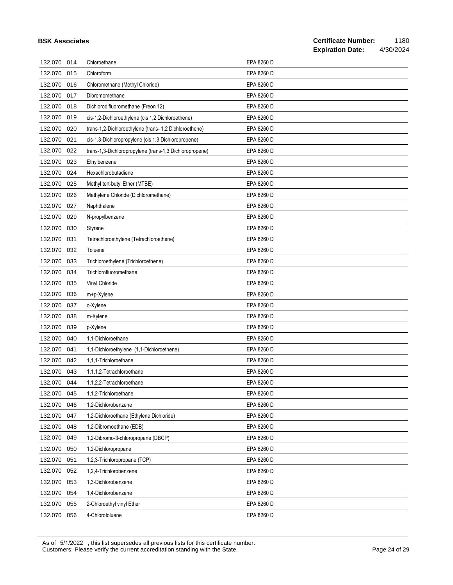|             |     |                                                         |            | <b>Expiration Date:</b> | 4/30/2024 |
|-------------|-----|---------------------------------------------------------|------------|-------------------------|-----------|
| 132.070 014 |     | Chloroethane                                            | EPA 8260 D |                         |           |
| 132.070     | 015 | Chloroform                                              | EPA 8260 D |                         |           |
| 132.070     | 016 | Chloromethane (Methyl Chloride)                         | EPA 8260 D |                         |           |
| 132.070     | 017 | Dibromomethane                                          | EPA 8260 D |                         |           |
| 132.070     | 018 | Dichlorodifluoromethane (Freon 12)                      | EPA 8260 D |                         |           |
| 132.070     | 019 | cis-1,2-Dichloroethylene (cis 1,2 Dichloroethene)       | EPA 8260 D |                         |           |
| 132.070     | 020 | trans-1,2-Dichloroethylene (trans-1,2 Dichloroethene)   | EPA 8260 D |                         |           |
| 132.070     | 021 | cis-1,3-Dichloropropylene (cis 1,3 Dichloropropene)     | EPA 8260 D |                         |           |
| 132.070     | 022 | trans-1,3-Dichloropropylene (trans-1,3 Dichloropropene) | EPA 8260 D |                         |           |
| 132.070     | 023 | Ethylbenzene                                            | EPA 8260 D |                         |           |
| 132.070     | 024 | Hexachlorobutadiene                                     | EPA 8260 D |                         |           |
| 132.070     | 025 | Methyl tert-butyl Ether (MTBE)                          | EPA 8260 D |                         |           |
| 132.070     | 026 | Methylene Chloride (Dichloromethane)                    | EPA 8260 D |                         |           |
| 132.070     | 027 | Naphthalene                                             | EPA 8260 D |                         |           |
| 132.070     | 029 | N-propylbenzene                                         | EPA 8260 D |                         |           |
| 132.070     | 030 | Styrene                                                 | EPA 8260 D |                         |           |
| 132.070     | 031 | Tetrachloroethylene (Tetrachloroethene)                 | EPA 8260 D |                         |           |
| 132.070     | 032 | Toluene                                                 | EPA 8260 D |                         |           |
| 132.070     | 033 | Trichloroethylene (Trichloroethene)                     | EPA 8260 D |                         |           |
| 132.070     | 034 | Trichlorofluoromethane                                  | EPA 8260 D |                         |           |
| 132.070     | 035 | Vinyl Chloride                                          | EPA 8260 D |                         |           |
| 132.070     | 036 | m+p-Xylene                                              | EPA 8260 D |                         |           |
| 132.070     | 037 | o-Xylene                                                | EPA 8260 D |                         |           |
| 132.070     | 038 | m-Xylene                                                | EPA 8260 D |                         |           |
| 132.070     | 039 | p-Xylene                                                | EPA 8260 D |                         |           |
| 132.070     | 040 | 1,1-Dichloroethane                                      | EPA 8260 D |                         |           |
| 132.070     | 041 | 1,1-Dichloroethylene (1,1-Dichloroethene)               | EPA 8260 D |                         |           |
| 132.070     | 042 | 1,1,1-Trichloroethane                                   | EPA 8260 D |                         |           |
| 132.070 043 |     | 1,1,1,2-Tetrachloroethane                               | EPA 8260 D |                         |           |
| 132.070     | 044 | 1,1,2,2-Tetrachloroethane                               | EPA 8260 D |                         |           |
| 132.070     | 045 | 1,1,2-Trichloroethane                                   | EPA 8260 D |                         |           |
| 132.070     | 046 | 1,2-Dichlorobenzene                                     | EPA 8260 D |                         |           |
| 132.070     | 047 | 1,2-Dichloroethane (Ethylene Dichloride)                | EPA 8260 D |                         |           |
| 132.070     | 048 | 1,2-Dibromoethane (EDB)                                 | EPA 8260 D |                         |           |
| 132.070     | 049 | 1,2-Dibromo-3-chloropropane (DBCP)                      | EPA 8260 D |                         |           |
| 132.070     | 050 | 1,2-Dichloropropane                                     | EPA 8260 D |                         |           |
| 132.070     | 051 | 1,2,3-Trichloropropane (TCP)                            | EPA 8260 D |                         |           |
| 132.070     | 052 | 1,2,4-Trichlorobenzene                                  | EPA 8260 D |                         |           |
| 132.070     | 053 | 1,3-Dichlorobenzene                                     | EPA 8260 D |                         |           |
| 132.070     | 054 | 1,4-Dichlorobenzene                                     | EPA 8260 D |                         |           |
| 132.070     | 055 | 2-Chloroethyl vinyl Ether                               | EPA 8260 D |                         |           |
| 132.070     | 056 | 4-Chlorotoluene                                         | EPA 8260 D |                         |           |

As of 5/1/2022 , this list supersedes all previous lists for this certificate number. Customers: Please verify the current accreditation standing with the State. Current content of 29 of 29 of 29 of 29

**BSK Associates**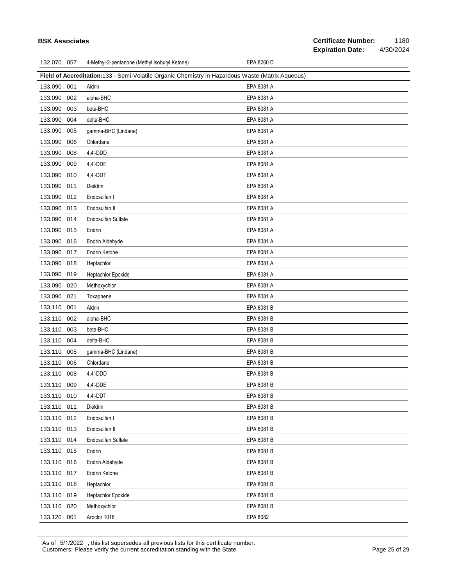## **Field of Accreditation:**133 - Semi-Volatile Organic Chemistry in Hazardous Waste (Matrix Aqueous) 133.090 001 Aldrin EPA 8081 A 133.090 002 alpha-BHC EPA 8081 A 133.090 003 beta-BHC EPA 8081 A 133.090 004 delta-BHC extended to the second series of the EPA 8081 A 133.090 005 gamma-BHC (Lindane) EPA 8081 A 133.090 006 Chlordane EPA 8081 A 133.090 008 4,4'-DDD EPA 8081 A 133.090 009 4,4'-DDE EPA 8081 A 133.090 010 4,4'-DDT EPA 8081 A 133.090 011 Dieldrin EPA 8081 A 133.090 012 Endosulfan I EPA 8081 A 133.090 013 Endosulfan II EPA 8081 A 133.090 014 Endosulfan Sulfate EPA 8081 A 133.090 015 Endrin EPA 8081 A 133.090 016 Endrin Aldehyde EPA 8081 A 133.090 017 Endrin Ketone **EPA 8081 A** 133.090 018 Heptachlor EPA 8081 A 133.090 019 Heptachlor Epoxide **EPA 8081 A** 133.090 020 Methoxychlor EPA 8081 A 133.090 021 Toxaphene EPA 8081 A 133.110 001 Aldrin EPA 8081 B 133.110 002 alpha-BHC EPA 8081 B 133.110 003 beta-BHC EPA 8081 B 133.110 004 delta-BHC EPA 8081 B 133.110 005 gamma-BHC (Lindane) EPA 8081 B 133.110 006 Chlordane EPA 8081 B 133.110 008 4,4'-DDD EPA 8081 B 133.110 009 4,4'-DDE EPA 8081 B 133.110 010 4,4'-DDT EPA 8081 B 133.110 011 Dieldrin EPA 8081 B 133.110 012 Endosulfan I EPA 8081 B 133.110 013 Endosulfan II EPA 8081 B 133.110 014 Endosulfan Sulfate EPA 8081 B 133.110 015 Endrin EPA 8081 B 133.110 016 Endrin Aldehyde **EPA 8081 B** 133.110 017 Endrin Ketone **EPA 8081 B** 133.110 018 Heptachlor EPA 8081 B 133.110 019 Heptachlor Epoxide **EPA 8081 B** 133.110 020 Methoxychlor **EPA 8081 B** 133.120 001 Aroclor 1016 EPA 8082

As of 5/1/2022 , this list supersedes all previous lists for this certificate number. Customers: Please verify the current accreditation standing with the State. Page 25 of 29 Page 25 of 29

#### **Certificate Number:** 1180 **Expiration Date:** 4/30/2024

#### **BSK Associates**

132.070 057 4-Methyl-2-pentanone (Methyl Isobutyl Ketone) EPA 8260 D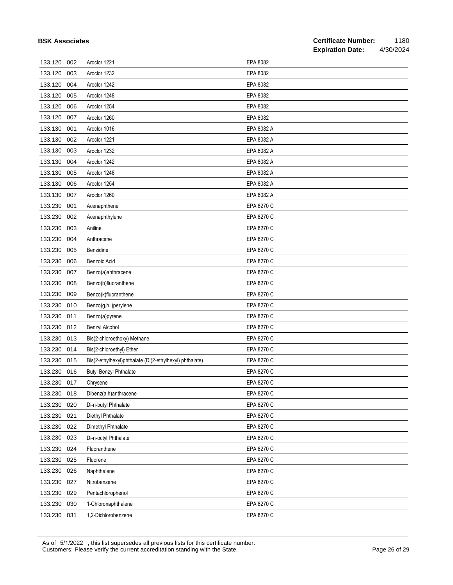|  | <b>BSK Associates</b> |
|--|-----------------------|
|--|-----------------------|

| 133.120     | 002 | Aroclor 1221                                            | EPA 8082   |
|-------------|-----|---------------------------------------------------------|------------|
| 133.120     | 003 | Aroclor 1232                                            | EPA 8082   |
| 133.120     | 004 | Aroclor 1242                                            | EPA 8082   |
| 133.120     | 005 | Aroclor 1248                                            | EPA 8082   |
| 133.120     | 006 | Aroclor 1254                                            | EPA 8082   |
| 133.120     | 007 | Aroclor 1260                                            | EPA 8082   |
| 133.130     | 001 | Aroclor 1016                                            | EPA 8082 A |
| 133.130     | 002 | Aroclor 1221                                            | EPA 8082 A |
| 133.130     | 003 | Aroclor 1232                                            | EPA 8082 A |
| 133.130     | 004 | Aroclor 1242                                            | EPA 8082 A |
| 133.130     | 005 | Aroclor 1248                                            | EPA 8082 A |
| 133.130     | 006 | Aroclor 1254                                            | EPA 8082 A |
| 133.130     | 007 | Aroclor 1260                                            | EPA 8082 A |
| 133.230     | 001 | Acenaphthene                                            | EPA 8270 C |
| 133.230     | 002 | Acenaphthylene                                          | EPA 8270 C |
| 133.230     | 003 | Aniline                                                 | EPA 8270 C |
| 133.230     | 004 | Anthracene                                              | EPA 8270 C |
| 133.230     | 005 | Benzidine                                               | EPA 8270 C |
| 133.230     | 006 | Benzoic Acid                                            | EPA 8270 C |
| 133.230     | 007 | Benzo(a)anthracene                                      | EPA 8270 C |
| 133.230     | 008 | Benzo(b)fluoranthene                                    | EPA 8270 C |
| 133.230     | 009 | Benzo(k)fluoranthene                                    | EPA 8270 C |
| 133.230     | 010 | Benzo(g,h,i)perylene                                    | EPA 8270 C |
| 133.230     | 011 | Benzo(a)pyrene                                          | EPA 8270 C |
| 133.230     | 012 | Benzyl Alcohol                                          | EPA 8270 C |
| 133.230     | 013 | Bis(2-chloroethoxy) Methane                             | EPA 8270 C |
| 133.230     | 014 | Bis(2-chloroethyl) Ether                                | EPA 8270 C |
| 133.230     | 015 | Bis(2-ethylhexyl)phthalate (Di(2-ethylhexyl) phthalate) | EPA 8270 C |
| 133.230     | 016 | <b>Butyl Benzyl Phthalate</b>                           | EPA 8270 C |
| 133.230     | 017 | Chrysene                                                | EPA 8270 C |
| 133.230 018 |     | Dibenz(a,h)anthracene                                   | EPA 8270 C |
| 133.230     | 020 | Di-n-butyl Phthalate                                    | EPA 8270 C |
| 133.230     | 021 | Diethyl Phthalate                                       | EPA 8270 C |
| 133.230     | 022 | Dimethyl Phthalate                                      | EPA 8270 C |
| 133.230     | 023 | Di-n-octyl Phthalate                                    | EPA 8270 C |
| 133.230     | 024 | Fluoranthene                                            | EPA 8270 C |
| 133.230     | 025 | Fluorene                                                | EPA 8270 C |
| 133.230     | 026 | Naphthalene                                             | EPA 8270 C |
| 133.230     | 027 | Nitrobenzene                                            | EPA 8270 C |
| 133.230     | 029 | Pentachlorophenol                                       | EPA 8270 C |
| 133.230     | 030 | 1-Chloronaphthalene                                     | EPA 8270 C |
| 133.230 031 |     | 1,2-Dichlorobenzene                                     | EPA 8270 C |

As of 5/1/2022 , this list supersedes all previous lists for this certificate number. Customers: Please verify the current accreditation standing with the State. Current content of 29 of 29 of 29 of 29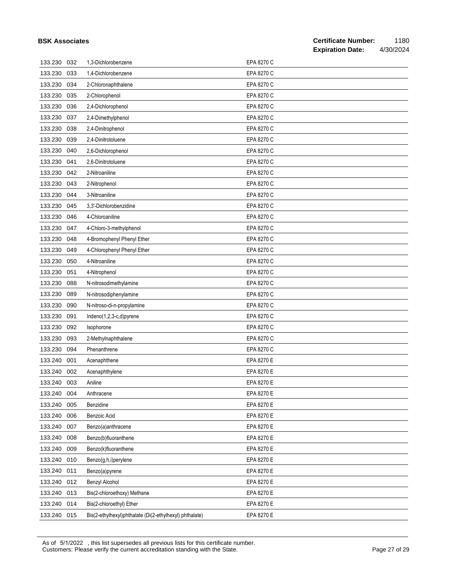| <b>BSK Associates</b> |     |                                                         |            | <b>Certificate Number:</b><br>1180<br><b>Expiration Date:</b><br>4/30/2024 |
|-----------------------|-----|---------------------------------------------------------|------------|----------------------------------------------------------------------------|
| 133.230               | 032 | 1,3-Dichlorobenzene                                     | EPA 8270 C |                                                                            |
| 133.230               | 033 | 1,4-Dichlorobenzene                                     | EPA 8270 C |                                                                            |
| 133.230               | 034 | 2-Chloronaphthalene                                     | EPA 8270 C |                                                                            |
| 133.230               | 035 | 2-Chlorophenol                                          | EPA 8270 C |                                                                            |
| 133.230               | 036 | 2,4-Dichlorophenol                                      | EPA 8270 C |                                                                            |
| 133.230               | 037 | 2,4-Dimethylphenol                                      | EPA 8270 C |                                                                            |
| 133.230               | 038 | 2,4-Dinitrophenol                                       | EPA 8270 C |                                                                            |
| 133.230               | 039 | 2,4-Dinitrotoluene                                      | EPA 8270 C |                                                                            |
| 133.230               | 040 | 2,6-Dichlorophenol                                      | EPA 8270 C |                                                                            |
| 133.230               | 041 | 2,6-Dinitrotoluene                                      | EPA 8270 C |                                                                            |
| 133.230               | 042 | 2-Nitroaniline                                          | EPA 8270 C |                                                                            |
| 133.230               | 043 | 2-Nitrophenol                                           | EPA 8270 C |                                                                            |
| 133.230               | 044 | 3-Nitroaniline                                          | EPA 8270 C |                                                                            |
| 133.230               | 045 | 3,3'-Dichlorobenzidine                                  | EPA 8270 C |                                                                            |
| 133.230               | 046 | 4-Chloroaniline                                         | EPA 8270 C |                                                                            |
| 133.230               | 047 | 4-Chloro-3-methylphenol                                 | EPA 8270 C |                                                                            |
| 133.230               | 048 | 4-Bromophenyl Phenyl Ether                              | EPA 8270 C |                                                                            |
| 133.230               | 049 | 4-Chlorophenyl Phenyl Ether                             | EPA 8270 C |                                                                            |
| 133.230               | 050 | 4-Nitroaniline                                          | EPA 8270 C |                                                                            |
| 133.230               | 051 | 4-Nitrophenol                                           | EPA 8270 C |                                                                            |
| 133.230               | 088 | N-nitrosodimethylamine                                  | EPA 8270 C |                                                                            |
| 133.230               | 089 | N-nitrosodiphenylamine                                  | EPA 8270 C |                                                                            |
| 133.230               | 090 | N-nitroso-di-n-propylamine                              | EPA 8270 C |                                                                            |
| 133.230               | 091 | Indeno(1,2,3-c,d)pyrene                                 | EPA 8270 C |                                                                            |
| 133.230               | 092 | Isophorone                                              | EPA 8270 C |                                                                            |
| 133.230               | 093 | 2-Methylnaphthalene                                     | EPA 8270 C |                                                                            |
| 133.230               | 094 | Phenanthrene                                            | EPA 8270 C |                                                                            |
| 133.240               | 001 | Acenaphthene                                            | EPA 8270 E |                                                                            |
| 133.240               | 002 | Acenaphthylene                                          | EPA 8270 E |                                                                            |
| 133.240               | 003 | Aniline                                                 | EPA 8270 E |                                                                            |
| 133.240               | 004 | Anthracene                                              | EPA 8270 E |                                                                            |
| 133.240               | 005 | Benzidine                                               | EPA 8270 E |                                                                            |
| 133.240               | 006 | <b>Benzoic Acid</b>                                     | EPA 8270 E |                                                                            |
| 133.240               | 007 | Benzo(a)anthracene                                      | EPA 8270 E |                                                                            |
| 133.240               | 008 | Benzo(b)fluoranthene                                    | EPA 8270 E |                                                                            |
| 133.240               | 009 | Benzo(k)fluoranthene                                    | EPA 8270 E |                                                                            |
| 133.240               | 010 | Benzo(g,h,i)perylene                                    | EPA 8270 E |                                                                            |
| 133.240               | 011 | Benzo(a)pyrene                                          | EPA 8270 E |                                                                            |
| 133.240               | 012 | Benzyl Alcohol                                          | EPA 8270 E |                                                                            |
| 133.240               | 013 | Bis(2-chloroethoxy) Methane                             | EPA 8270 E |                                                                            |
| 133.240               | 014 | Bis(2-chloroethyl) Ether                                | EPA 8270 E |                                                                            |
| 133.240 015           |     | Bis(2-ethylhexyl)phthalate (Di(2-ethylhexyl) phthalate) | EPA 8270 E |                                                                            |

As of 5/1/2022 , this list supersedes all previous lists for this certificate number. Customers: Please verify the current accreditation standing with the State. **Page 27 of 29** Page 27 of 29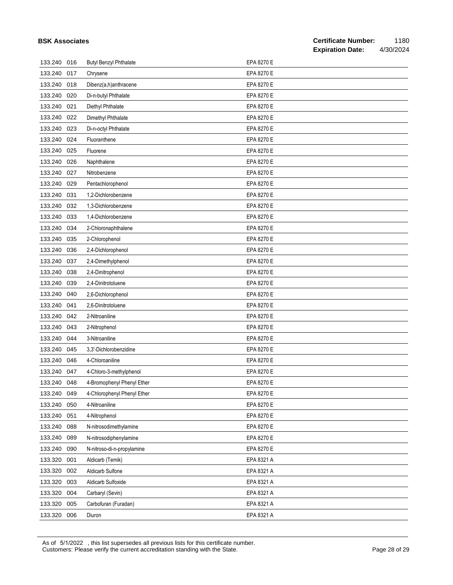| <b>BSK Associates</b> |     |                               |            | <b>Certificate Number:</b><br><b>Expiration Date:</b> |  |  |
|-----------------------|-----|-------------------------------|------------|-------------------------------------------------------|--|--|
| 133.240 016           |     | <b>Butyl Benzyl Phthalate</b> | EPA 8270 E |                                                       |  |  |
| 133.240               | 017 | Chrysene                      | EPA 8270 E |                                                       |  |  |
| 133.240               | 018 | Dibenz(a,h)anthracene         | EPA 8270 E |                                                       |  |  |
| 133.240               | 020 | Di-n-butyl Phthalate          | EPA 8270 E |                                                       |  |  |
| 133.240               | 021 | Diethyl Phthalate             | EPA 8270 E |                                                       |  |  |
| 133.240               | 022 | Dimethyl Phthalate            | EPA 8270 E |                                                       |  |  |
| 133.240               | 023 | Di-n-octyl Phthalate          | EPA 8270 E |                                                       |  |  |
| 133.240               | 024 | Fluoranthene                  | EPA 8270 E |                                                       |  |  |
| 133.240               | 025 | Fluorene                      | EPA 8270 E |                                                       |  |  |
| 133.240               | 026 | Naphthalene                   | EPA 8270 E |                                                       |  |  |
| 133.240               | 027 | Nitrobenzene                  | EPA 8270 E |                                                       |  |  |
| 133.240               | 029 | Pentachlorophenol             | EPA 8270 E |                                                       |  |  |
| 133.240               | 031 | 1,2-Dichlorobenzene           | EPA 8270 E |                                                       |  |  |
| 133.240               | 032 | 1,3-Dichlorobenzene           | EPA 8270 E |                                                       |  |  |
| 133.240               | 033 | 1,4-Dichlorobenzene           | EPA 8270 E |                                                       |  |  |
| 133.240               | 034 | 2-Chloronaphthalene           | EPA 8270 E |                                                       |  |  |
| 133.240               | 035 | 2-Chlorophenol                | EPA 8270 E |                                                       |  |  |
| 133.240               | 036 | 2,4-Dichlorophenol            | EPA 8270 E |                                                       |  |  |
| 133.240               | 037 | 2,4-Dimethylphenol            | EPA 8270 E |                                                       |  |  |
| 133.240               | 038 | 2,4-Dinitrophenol             | EPA 8270 E |                                                       |  |  |
| 133.240               | 039 | 2,4-Dinitrotoluene            | EPA 8270 E |                                                       |  |  |
| 133.240               | 040 | 2,6-Dichlorophenol            | EPA 8270 E |                                                       |  |  |
| 133.240               | 041 | 2,6-Dinitrotoluene            | EPA 8270 E |                                                       |  |  |
| 133.240               | 042 | 2-Nitroaniline                | EPA 8270 E |                                                       |  |  |
| 133.240               | 043 | 2-Nitrophenol                 | EPA 8270 E |                                                       |  |  |
| 133.240               | 044 | 3-Nitroaniline                | EPA 8270 E |                                                       |  |  |
| 133.240               | 045 | 3,3'-Dichlorobenzidine        | EPA 8270 E |                                                       |  |  |
| 133.240 046           |     | 4-Chloroaniline               | EPA 8270 E |                                                       |  |  |
| 133.240 047           |     | 4-Chloro-3-methylphenol       | EPA 8270 E |                                                       |  |  |
| 133.240               | 048 | 4-Bromophenyl Phenyl Ether    | EPA 8270 E |                                                       |  |  |
| 133.240               | 049 | 4-Chlorophenyl Phenyl Ether   | EPA 8270 E |                                                       |  |  |
| 133.240               | 050 | 4-Nitroaniline                | EPA 8270 E |                                                       |  |  |
| 133.240               | 051 | 4-Nitrophenol                 | EPA 8270 E |                                                       |  |  |
| 133.240               | 088 | N-nitrosodimethylamine        | EPA 8270 E |                                                       |  |  |
| 133.240               | 089 | N-nitrosodiphenylamine        | EPA 8270 E |                                                       |  |  |
| 133.240               | 090 | N-nitroso-di-n-propylamine    | EPA 8270 E |                                                       |  |  |
| 133.320               | 001 | Aldicarb (Temik)              | EPA 8321 A |                                                       |  |  |
| 133.320               | 002 | Aldicarb Sulfone              | EPA 8321 A |                                                       |  |  |
| 133.320               | 003 | Aldicarb Sulfoxide            | EPA 8321 A |                                                       |  |  |
| 133.320               | 004 | Carbaryl (Sevin)              | EPA 8321 A |                                                       |  |  |
| 133.320               | 005 | Carbofuran (Furadan)          | EPA 8321 A |                                                       |  |  |
| 133.320 006           |     | Diuron                        | EPA 8321 A |                                                       |  |  |

As of 5/1/2022 , this list supersedes all previous lists for this certificate number. Customers: Please verify the current accreditation standing with the State. Current content of Page 28 of 29 of 29